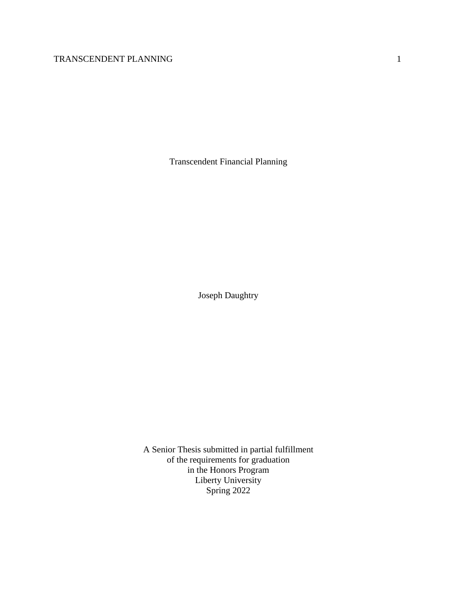Transcendent Financial Planning

Joseph Daughtry

A Senior Thesis submitted in partial fulfillment of the requirements for graduation in the Honors Program Liberty University Spring 2022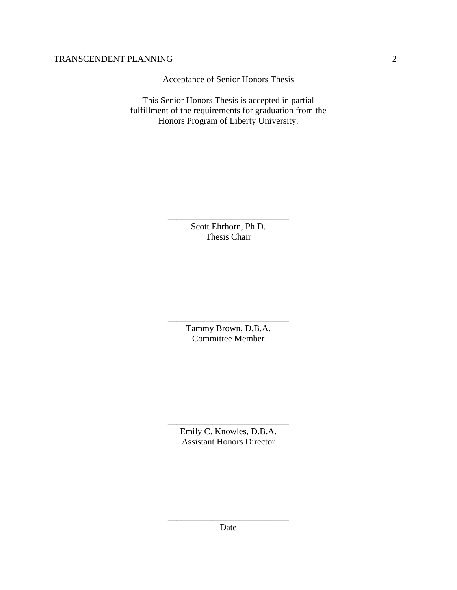Acceptance of Senior Honors Thesis

This Senior Honors Thesis is accepted in partial fulfillment of the requirements for graduation from the Honors Program of Liberty University.

> Scott Ehrhorn, Ph.D. Thesis Chair

\_\_\_\_\_\_\_\_\_\_\_\_\_\_\_\_\_\_\_\_\_\_\_\_\_\_\_

\_\_\_\_\_\_\_\_\_\_\_\_\_\_\_\_\_\_\_\_\_\_\_\_\_\_\_ Tammy Brown, D.B.A. Committee Member

Emily C. Knowles, D.B.A. Assistant Honors Director

\_\_\_\_\_\_\_\_\_\_\_\_\_\_\_\_\_\_\_\_\_\_\_\_\_\_\_

\_\_\_\_\_\_\_\_\_\_\_\_\_\_\_\_\_\_\_\_\_\_\_\_\_\_\_ Date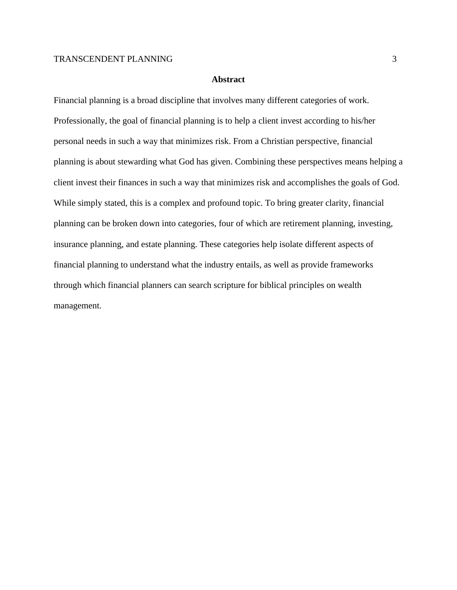## **Abstract**

Financial planning is a broad discipline that involves many different categories of work. Professionally, the goal of financial planning is to help a client invest according to his/her personal needs in such a way that minimizes risk. From a Christian perspective, financial planning is about stewarding what God has given. Combining these perspectives means helping a client invest their finances in such a way that minimizes risk and accomplishes the goals of God. While simply stated, this is a complex and profound topic. To bring greater clarity, financial planning can be broken down into categories, four of which are retirement planning, investing, insurance planning, and estate planning. These categories help isolate different aspects of financial planning to understand what the industry entails, as well as provide frameworks through which financial planners can search scripture for biblical principles on wealth management.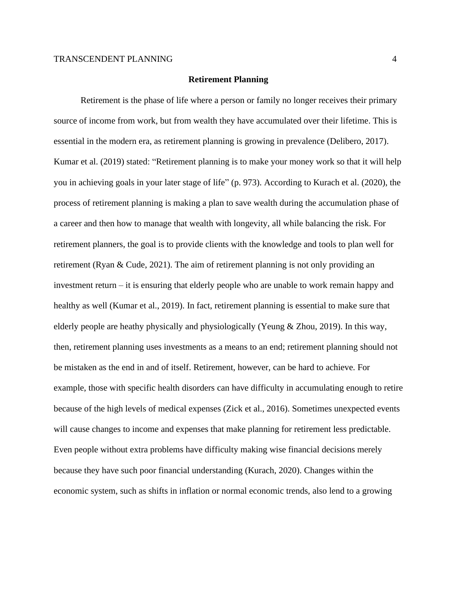#### **Retirement Planning**

Retirement is the phase of life where a person or family no longer receives their primary source of income from work, but from wealth they have accumulated over their lifetime. This is essential in the modern era, as retirement planning is growing in prevalence (Delibero, 2017). Kumar et al. (2019) stated: "Retirement planning is to make your money work so that it will help you in achieving goals in your later stage of life" (p. 973). According to Kurach et al. (2020), the process of retirement planning is making a plan to save wealth during the accumulation phase of a career and then how to manage that wealth with longevity, all while balancing the risk. For retirement planners, the goal is to provide clients with the knowledge and tools to plan well for retirement (Ryan & Cude, 2021). The aim of retirement planning is not only providing an investment return – it is ensuring that elderly people who are unable to work remain happy and healthy as well (Kumar et al., 2019). In fact, retirement planning is essential to make sure that elderly people are heathy physically and physiologically (Yeung & Zhou, 2019). In this way, then, retirement planning uses investments as a means to an end; retirement planning should not be mistaken as the end in and of itself. Retirement, however, can be hard to achieve. For example, those with specific health disorders can have difficulty in accumulating enough to retire because of the high levels of medical expenses (Zick et al., 2016). Sometimes unexpected events will cause changes to income and expenses that make planning for retirement less predictable. Even people without extra problems have difficulty making wise financial decisions merely because they have such poor financial understanding (Kurach, 2020). Changes within the economic system, such as shifts in inflation or normal economic trends, also lend to a growing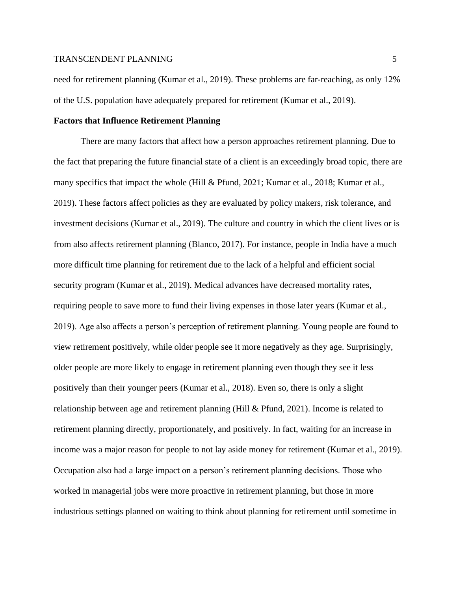need for retirement planning (Kumar et al., 2019). These problems are far-reaching, as only 12% of the U.S. population have adequately prepared for retirement (Kumar et al., 2019).

## **Factors that Influence Retirement Planning**

There are many factors that affect how a person approaches retirement planning. Due to the fact that preparing the future financial state of a client is an exceedingly broad topic, there are many specifics that impact the whole (Hill & Pfund, 2021; Kumar et al., 2018; Kumar et al., 2019). These factors affect policies as they are evaluated by policy makers, risk tolerance, and investment decisions (Kumar et al., 2019). The culture and country in which the client lives or is from also affects retirement planning (Blanco, 2017). For instance, people in India have a much more difficult time planning for retirement due to the lack of a helpful and efficient social security program (Kumar et al., 2019). Medical advances have decreased mortality rates, requiring people to save more to fund their living expenses in those later years (Kumar et al., 2019). Age also affects a person's perception of retirement planning. Young people are found to view retirement positively, while older people see it more negatively as they age. Surprisingly, older people are more likely to engage in retirement planning even though they see it less positively than their younger peers (Kumar et al., 2018). Even so, there is only a slight relationship between age and retirement planning (Hill & Pfund, 2021). Income is related to retirement planning directly, proportionately, and positively. In fact, waiting for an increase in income was a major reason for people to not lay aside money for retirement (Kumar et al., 2019). Occupation also had a large impact on a person's retirement planning decisions. Those who worked in managerial jobs were more proactive in retirement planning, but those in more industrious settings planned on waiting to think about planning for retirement until sometime in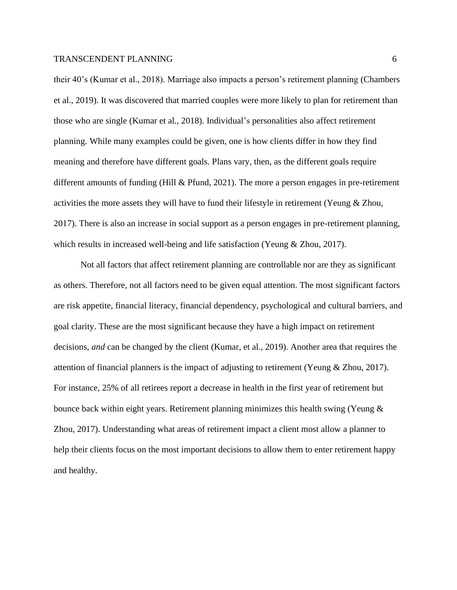their 40's (Kumar et al., 2018). Marriage also impacts a person's retirement planning (Chambers et al., 2019). It was discovered that married couples were more likely to plan for retirement than those who are single (Kumar et al., 2018). Individual's personalities also affect retirement planning. While many examples could be given, one is how clients differ in how they find meaning and therefore have different goals. Plans vary, then, as the different goals require different amounts of funding (Hill & Pfund, 2021). The more a person engages in pre-retirement activities the more assets they will have to fund their lifestyle in retirement (Yeung & Zhou, 2017). There is also an increase in social support as a person engages in pre-retirement planning, which results in increased well-being and life satisfaction (Yeung & Zhou, 2017).

Not all factors that affect retirement planning are controllable nor are they as significant as others. Therefore, not all factors need to be given equal attention. The most significant factors are risk appetite, financial literacy, financial dependency, psychological and cultural barriers, and goal clarity. These are the most significant because they have a high impact on retirement decisions, *and* can be changed by the client (Kumar, et al., 2019). Another area that requires the attention of financial planners is the impact of adjusting to retirement (Yeung & Zhou, 2017). For instance, 25% of all retirees report a decrease in health in the first year of retirement but bounce back within eight years. Retirement planning minimizes this health swing (Yeung & Zhou, 2017). Understanding what areas of retirement impact a client most allow a planner to help their clients focus on the most important decisions to allow them to enter retirement happy and healthy.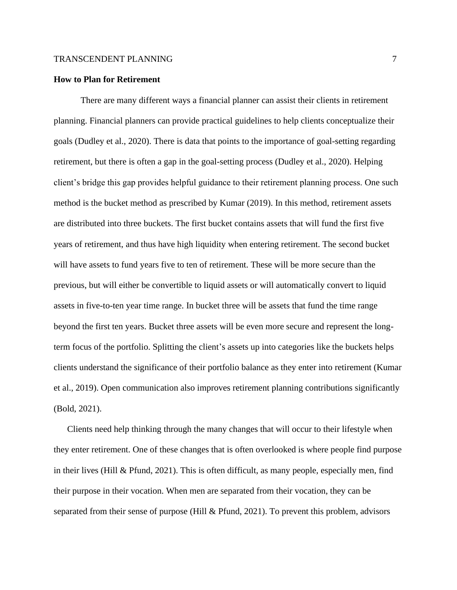#### **How to Plan for Retirement**

There are many different ways a financial planner can assist their clients in retirement planning. Financial planners can provide practical guidelines to help clients conceptualize their goals (Dudley et al., 2020). There is data that points to the importance of goal-setting regarding retirement, but there is often a gap in the goal-setting process (Dudley et al., 2020). Helping client's bridge this gap provides helpful guidance to their retirement planning process. One such method is the bucket method as prescribed by Kumar (2019). In this method, retirement assets are distributed into three buckets. The first bucket contains assets that will fund the first five years of retirement, and thus have high liquidity when entering retirement. The second bucket will have assets to fund years five to ten of retirement. These will be more secure than the previous, but will either be convertible to liquid assets or will automatically convert to liquid assets in five-to-ten year time range. In bucket three will be assets that fund the time range beyond the first ten years. Bucket three assets will be even more secure and represent the longterm focus of the portfolio. Splitting the client's assets up into categories like the buckets helps clients understand the significance of their portfolio balance as they enter into retirement (Kumar et al., 2019). Open communication also improves retirement planning contributions significantly (Bold, 2021).

Clients need help thinking through the many changes that will occur to their lifestyle when they enter retirement. One of these changes that is often overlooked is where people find purpose in their lives (Hill & Pfund, 2021). This is often difficult, as many people, especially men, find their purpose in their vocation. When men are separated from their vocation, they can be separated from their sense of purpose (Hill & Pfund, 2021). To prevent this problem, advisors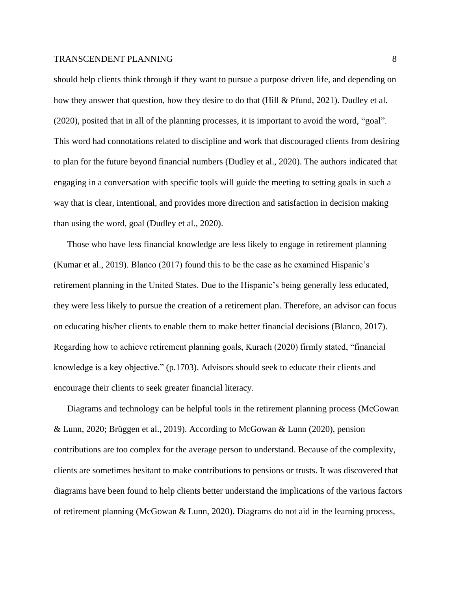should help clients think through if they want to pursue a purpose driven life, and depending on how they answer that question, how they desire to do that (Hill & Pfund, 2021). Dudley et al. (2020), posited that in all of the planning processes, it is important to avoid the word, "goal". This word had connotations related to discipline and work that discouraged clients from desiring to plan for the future beyond financial numbers (Dudley et al., 2020). The authors indicated that engaging in a conversation with specific tools will guide the meeting to setting goals in such a way that is clear, intentional, and provides more direction and satisfaction in decision making than using the word, goal (Dudley et al., 2020).

Those who have less financial knowledge are less likely to engage in retirement planning (Kumar et al., 2019). Blanco (2017) found this to be the case as he examined Hispanic's retirement planning in the United States. Due to the Hispanic's being generally less educated, they were less likely to pursue the creation of a retirement plan. Therefore, an advisor can focus on educating his/her clients to enable them to make better financial decisions (Blanco, 2017). Regarding how to achieve retirement planning goals, Kurach (2020) firmly stated, "financial knowledge is a key objective." (p.1703). Advisors should seek to educate their clients and encourage their clients to seek greater financial literacy.

Diagrams and technology can be helpful tools in the retirement planning process (McGowan & Lunn, 2020; Brüggen et al., 2019). According to McGowan & Lunn (2020), pension contributions are too complex for the average person to understand. Because of the complexity, clients are sometimes hesitant to make contributions to pensions or trusts. It was discovered that diagrams have been found to help clients better understand the implications of the various factors of retirement planning (McGowan & Lunn, 2020). Diagrams do not aid in the learning process,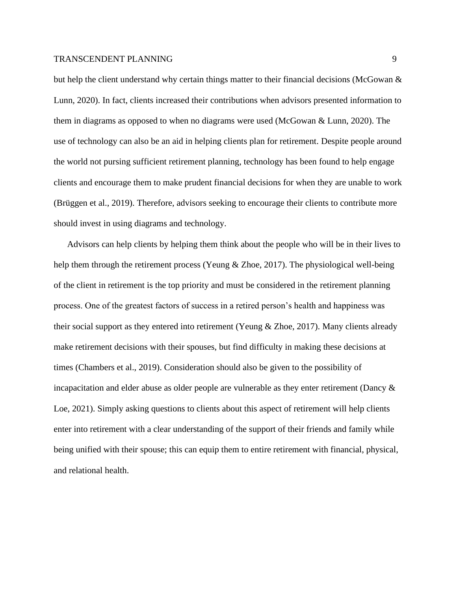but help the client understand why certain things matter to their financial decisions (McGowan & Lunn, 2020). In fact, clients increased their contributions when advisors presented information to them in diagrams as opposed to when no diagrams were used (McGowan & Lunn, 2020). The use of technology can also be an aid in helping clients plan for retirement. Despite people around the world not pursing sufficient retirement planning, technology has been found to help engage clients and encourage them to make prudent financial decisions for when they are unable to work (Brüggen et al., 2019). Therefore, advisors seeking to encourage their clients to contribute more should invest in using diagrams and technology.

Advisors can help clients by helping them think about the people who will be in their lives to help them through the retirement process (Yeung & Zhoe, 2017). The physiological well-being of the client in retirement is the top priority and must be considered in the retirement planning process. One of the greatest factors of success in a retired person's health and happiness was their social support as they entered into retirement (Yeung & Zhoe, 2017). Many clients already make retirement decisions with their spouses, but find difficulty in making these decisions at times (Chambers et al., 2019). Consideration should also be given to the possibility of incapacitation and elder abuse as older people are vulnerable as they enter retirement (Dancy & Loe, 2021). Simply asking questions to clients about this aspect of retirement will help clients enter into retirement with a clear understanding of the support of their friends and family while being unified with their spouse; this can equip them to entire retirement with financial, physical, and relational health.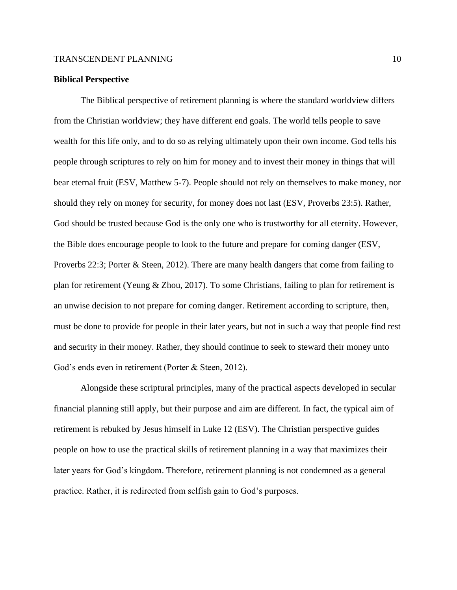## **Biblical Perspective**

The Biblical perspective of retirement planning is where the standard worldview differs from the Christian worldview; they have different end goals. The world tells people to save wealth for this life only, and to do so as relying ultimately upon their own income. God tells his people through scriptures to rely on him for money and to invest their money in things that will bear eternal fruit (ESV, Matthew 5-7). People should not rely on themselves to make money, nor should they rely on money for security, for money does not last (ESV, Proverbs 23:5). Rather, God should be trusted because God is the only one who is trustworthy for all eternity. However, the Bible does encourage people to look to the future and prepare for coming danger (ESV, Proverbs 22:3; Porter & Steen, 2012). There are many health dangers that come from failing to plan for retirement (Yeung & Zhou, 2017). To some Christians, failing to plan for retirement is an unwise decision to not prepare for coming danger. Retirement according to scripture, then, must be done to provide for people in their later years, but not in such a way that people find rest and security in their money. Rather, they should continue to seek to steward their money unto God's ends even in retirement (Porter & Steen, 2012).

Alongside these scriptural principles, many of the practical aspects developed in secular financial planning still apply, but their purpose and aim are different. In fact, the typical aim of retirement is rebuked by Jesus himself in Luke 12 (ESV). The Christian perspective guides people on how to use the practical skills of retirement planning in a way that maximizes their later years for God's kingdom. Therefore, retirement planning is not condemned as a general practice. Rather, it is redirected from selfish gain to God's purposes.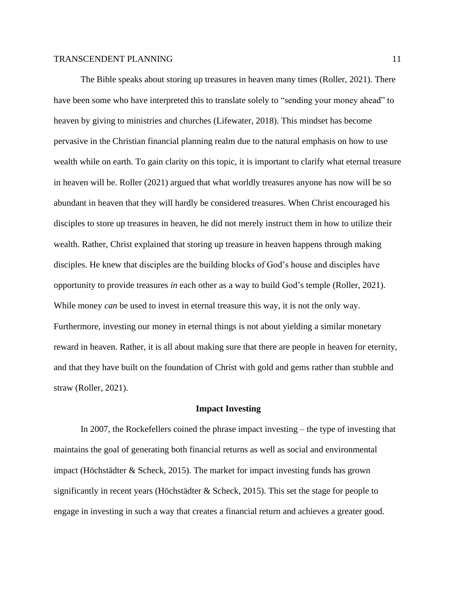The Bible speaks about storing up treasures in heaven many times (Roller, 2021). There have been some who have interpreted this to translate solely to "sending your money ahead" to heaven by giving to ministries and churches (Lifewater, 2018). This mindset has become pervasive in the Christian financial planning realm due to the natural emphasis on how to use wealth while on earth. To gain clarity on this topic, it is important to clarify what eternal treasure in heaven will be. Roller (2021) argued that what worldly treasures anyone has now will be so abundant in heaven that they will hardly be considered treasures. When Christ encouraged his disciples to store up treasures in heaven, he did not merely instruct them in how to utilize their wealth. Rather, Christ explained that storing up treasure in heaven happens through making disciples. He knew that disciples are the building blocks of God's house and disciples have opportunity to provide treasures *in* each other as a way to build God's temple (Roller, 2021). While money *can* be used to invest in eternal treasure this way, it is not the only way. Furthermore, investing our money in eternal things is not about yielding a similar monetary reward in heaven. Rather, it is all about making sure that there are people in heaven for eternity, and that they have built on the foundation of Christ with gold and gems rather than stubble and straw (Roller, 2021).

#### **Impact Investing**

In 2007, the Rockefellers coined the phrase impact investing – the type of investing that maintains the goal of generating both financial returns as well as social and environmental impact (Höchstädter & Scheck, 2015). The market for impact investing funds has grown significantly in recent years (Höchstädter & Scheck, 2015). This set the stage for people to engage in investing in such a way that creates a financial return and achieves a greater good.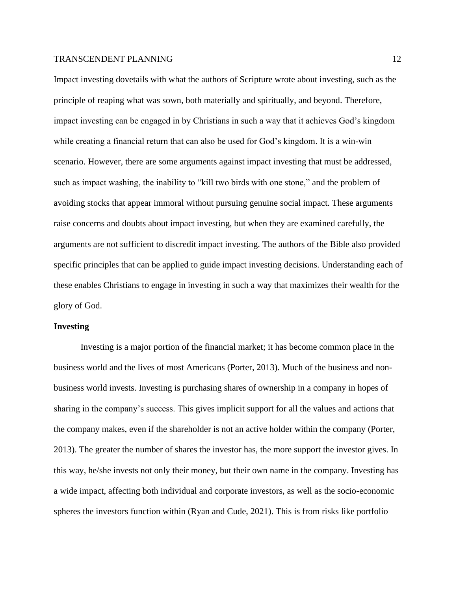Impact investing dovetails with what the authors of Scripture wrote about investing, such as the principle of reaping what was sown, both materially and spiritually, and beyond. Therefore, impact investing can be engaged in by Christians in such a way that it achieves God's kingdom while creating a financial return that can also be used for God's kingdom. It is a win-win scenario. However, there are some arguments against impact investing that must be addressed, such as impact washing, the inability to "kill two birds with one stone," and the problem of avoiding stocks that appear immoral without pursuing genuine social impact. These arguments raise concerns and doubts about impact investing, but when they are examined carefully, the arguments are not sufficient to discredit impact investing. The authors of the Bible also provided specific principles that can be applied to guide impact investing decisions. Understanding each of these enables Christians to engage in investing in such a way that maximizes their wealth for the glory of God.

#### **Investing**

Investing is a major portion of the financial market; it has become common place in the business world and the lives of most Americans (Porter, 2013). Much of the business and nonbusiness world invests. Investing is purchasing shares of ownership in a company in hopes of sharing in the company's success. This gives implicit support for all the values and actions that the company makes, even if the shareholder is not an active holder within the company (Porter, 2013). The greater the number of shares the investor has, the more support the investor gives. In this way, he/she invests not only their money, but their own name in the company. Investing has a wide impact, affecting both individual and corporate investors, as well as the socio-economic spheres the investors function within (Ryan and Cude, 2021). This is from risks like portfolio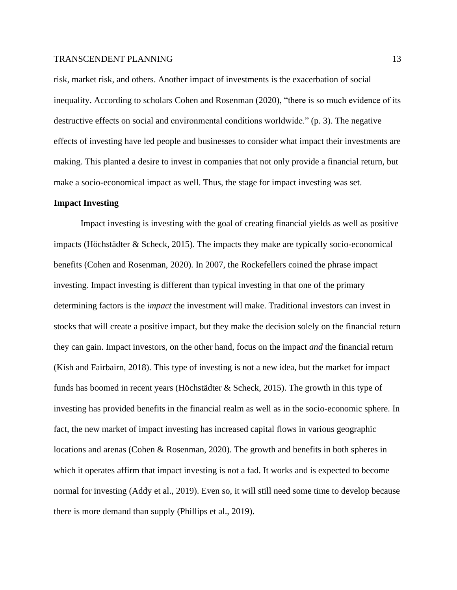risk, market risk, and others. Another impact of investments is the exacerbation of social inequality. According to scholars Cohen and Rosenman (2020), "there is so much evidence of its destructive effects on social and environmental conditions worldwide." (p. 3). The negative effects of investing have led people and businesses to consider what impact their investments are making. This planted a desire to invest in companies that not only provide a financial return, but make a socio-economical impact as well. Thus, the stage for impact investing was set.

## **Impact Investing**

Impact investing is investing with the goal of creating financial yields as well as positive impacts (Höchstädter & Scheck, 2015). The impacts they make are typically socio-economical benefits (Cohen and Rosenman, 2020). In 2007, the Rockefellers coined the phrase impact investing. Impact investing is different than typical investing in that one of the primary determining factors is the *impact* the investment will make. Traditional investors can invest in stocks that will create a positive impact, but they make the decision solely on the financial return they can gain. Impact investors, on the other hand, focus on the impact *and* the financial return (Kish and Fairbairn, 2018). This type of investing is not a new idea, but the market for impact funds has boomed in recent years (Höchstädter & Scheck, 2015). The growth in this type of investing has provided benefits in the financial realm as well as in the socio-economic sphere. In fact, the new market of impact investing has increased capital flows in various geographic locations and arenas (Cohen & Rosenman, 2020). The growth and benefits in both spheres in which it operates affirm that impact investing is not a fad. It works and is expected to become normal for investing (Addy et al., 2019). Even so, it will still need some time to develop because there is more demand than supply (Phillips et al., 2019).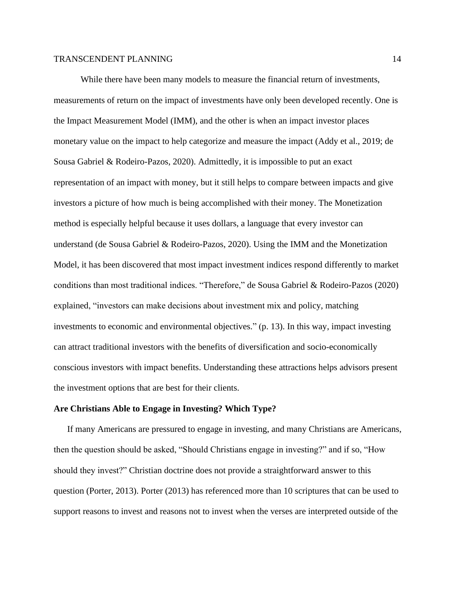While there have been many models to measure the financial return of investments, measurements of return on the impact of investments have only been developed recently. One is the Impact Measurement Model (IMM), and the other is when an impact investor places monetary value on the impact to help categorize and measure the impact (Addy et al., 2019; de Sousa Gabriel & Rodeiro-Pazos, 2020). Admittedly, it is impossible to put an exact representation of an impact with money, but it still helps to compare between impacts and give investors a picture of how much is being accomplished with their money. The Monetization method is especially helpful because it uses dollars, a language that every investor can understand (de Sousa Gabriel & Rodeiro-Pazos, 2020). Using the IMM and the Monetization Model, it has been discovered that most impact investment indices respond differently to market conditions than most traditional indices. "Therefore," de Sousa Gabriel & Rodeiro-Pazos (2020) explained, "investors can make decisions about investment mix and policy, matching investments to economic and environmental objectives." (p. 13). In this way, impact investing can attract traditional investors with the benefits of diversification and socio-economically conscious investors with impact benefits. Understanding these attractions helps advisors present the investment options that are best for their clients.

## **Are Christians Able to Engage in Investing? Which Type?**

If many Americans are pressured to engage in investing, and many Christians are Americans, then the question should be asked, "Should Christians engage in investing?" and if so, "How should they invest?" Christian doctrine does not provide a straightforward answer to this question (Porter, 2013). Porter (2013) has referenced more than 10 scriptures that can be used to support reasons to invest and reasons not to invest when the verses are interpreted outside of the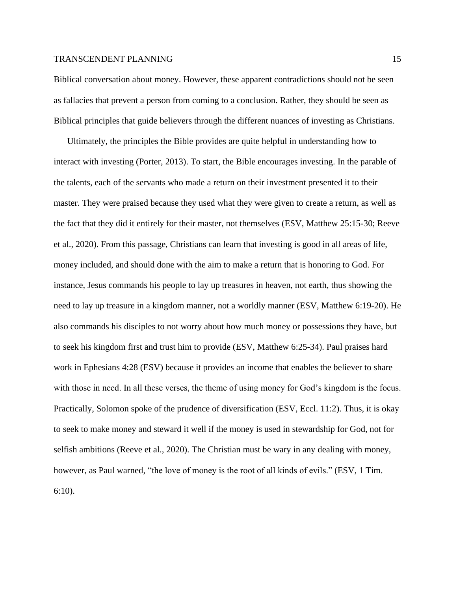Biblical conversation about money. However, these apparent contradictions should not be seen as fallacies that prevent a person from coming to a conclusion. Rather, they should be seen as Biblical principles that guide believers through the different nuances of investing as Christians.

Ultimately, the principles the Bible provides are quite helpful in understanding how to interact with investing (Porter, 2013). To start, the Bible encourages investing. In the parable of the talents, each of the servants who made a return on their investment presented it to their master. They were praised because they used what they were given to create a return, as well as the fact that they did it entirely for their master, not themselves (ESV, Matthew 25:15-30; Reeve et al., 2020). From this passage, Christians can learn that investing is good in all areas of life, money included, and should done with the aim to make a return that is honoring to God. For instance, Jesus commands his people to lay up treasures in heaven, not earth, thus showing the need to lay up treasure in a kingdom manner, not a worldly manner (ESV, Matthew 6:19-20). He also commands his disciples to not worry about how much money or possessions they have, but to seek his kingdom first and trust him to provide (ESV, Matthew 6:25-34). Paul praises hard work in Ephesians 4:28 (ESV) because it provides an income that enables the believer to share with those in need. In all these verses, the theme of using money for God's kingdom is the focus. Practically, Solomon spoke of the prudence of diversification (ESV, Eccl. 11:2). Thus, it is okay to seek to make money and steward it well if the money is used in stewardship for God, not for selfish ambitions (Reeve et al., 2020). The Christian must be wary in any dealing with money, however, as Paul warned, "the love of money is the root of all kinds of evils." (ESV, 1 Tim. 6:10).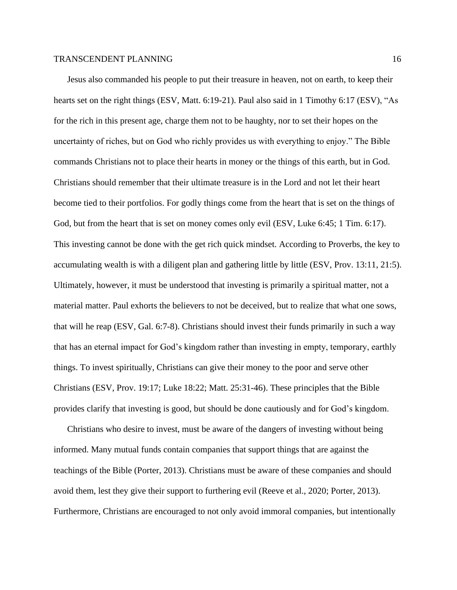Jesus also commanded his people to put their treasure in heaven, not on earth, to keep their hearts set on the right things (ESV, Matt. 6:19-21). Paul also said in 1 Timothy 6:17 (ESV), "As for the rich in this present age, charge them not to be haughty, nor to set their hopes on the uncertainty of riches, but on God who richly provides us with everything to enjoy." The Bible commands Christians not to place their hearts in money or the things of this earth, but in God. Christians should remember that their ultimate treasure is in the Lord and not let their heart become tied to their portfolios. For godly things come from the heart that is set on the things of God, but from the heart that is set on money comes only evil (ESV, Luke 6:45; 1 Tim. 6:17). This investing cannot be done with the get rich quick mindset. According to Proverbs, the key to accumulating wealth is with a diligent plan and gathering little by little (ESV, Prov. 13:11, 21:5). Ultimately, however, it must be understood that investing is primarily a spiritual matter, not a material matter. Paul exhorts the believers to not be deceived, but to realize that what one sows, that will he reap (ESV, Gal. 6:7-8). Christians should invest their funds primarily in such a way that has an eternal impact for God's kingdom rather than investing in empty, temporary, earthly things. To invest spiritually, Christians can give their money to the poor and serve other Christians (ESV, Prov. 19:17; Luke 18:22; Matt. 25:31-46). These principles that the Bible provides clarify that investing is good, but should be done cautiously and for God's kingdom.

Christians who desire to invest, must be aware of the dangers of investing without being informed. Many mutual funds contain companies that support things that are against the teachings of the Bible (Porter, 2013). Christians must be aware of these companies and should avoid them, lest they give their support to furthering evil (Reeve et al., 2020; Porter, 2013). Furthermore, Christians are encouraged to not only avoid immoral companies, but intentionally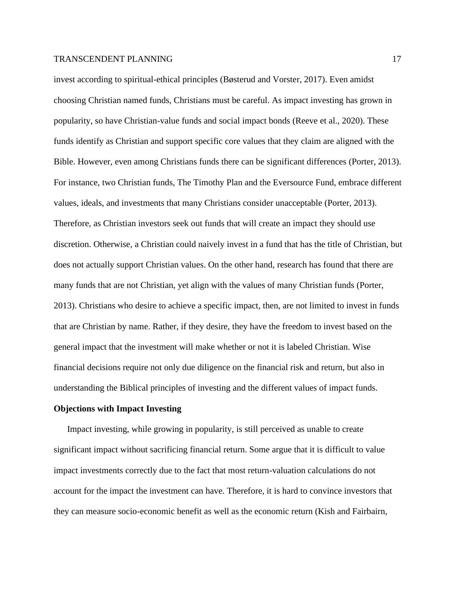invest according to spiritual-ethical principles (Bøsterud and Vorster, 2017). Even amidst choosing Christian named funds, Christians must be careful. As impact investing has grown in popularity, so have Christian-value funds and social impact bonds (Reeve et al., 2020). These funds identify as Christian and support specific core values that they claim are aligned with the Bible. However, even among Christians funds there can be significant differences (Porter, 2013). For instance, two Christian funds, The Timothy Plan and the Eversource Fund, embrace different values, ideals, and investments that many Christians consider unacceptable (Porter, 2013). Therefore, as Christian investors seek out funds that will create an impact they should use discretion. Otherwise, a Christian could naively invest in a fund that has the title of Christian, but does not actually support Christian values. On the other hand, research has found that there are many funds that are not Christian, yet align with the values of many Christian funds (Porter, 2013). Christians who desire to achieve a specific impact, then, are not limited to invest in funds that are Christian by name. Rather, if they desire, they have the freedom to invest based on the general impact that the investment will make whether or not it is labeled Christian. Wise financial decisions require not only due diligence on the financial risk and return, but also in understanding the Biblical principles of investing and the different values of impact funds.

## **Objections with Impact Investing**

Impact investing, while growing in popularity, is still perceived as unable to create significant impact without sacrificing financial return. Some argue that it is difficult to value impact investments correctly due to the fact that most return-valuation calculations do not account for the impact the investment can have. Therefore, it is hard to convince investors that they can measure socio-economic benefit as well as the economic return (Kish and Fairbairn,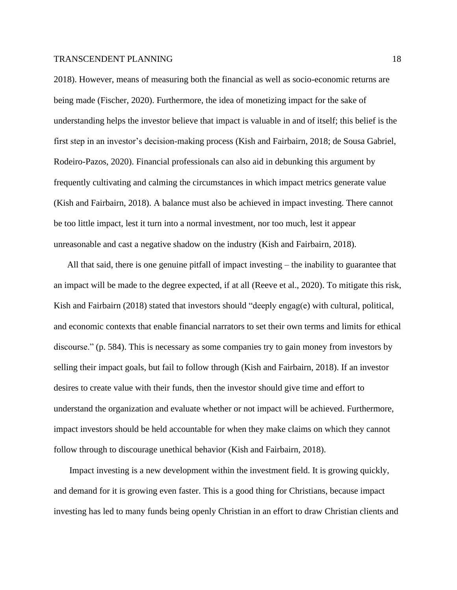2018). However, means of measuring both the financial as well as socio-economic returns are being made (Fischer, 2020). Furthermore, the idea of monetizing impact for the sake of understanding helps the investor believe that impact is valuable in and of itself; this belief is the first step in an investor's decision-making process (Kish and Fairbairn, 2018; de Sousa Gabriel, Rodeiro-Pazos, 2020). Financial professionals can also aid in debunking this argument by frequently cultivating and calming the circumstances in which impact metrics generate value (Kish and Fairbairn, 2018). A balance must also be achieved in impact investing. There cannot be too little impact, lest it turn into a normal investment, nor too much, lest it appear unreasonable and cast a negative shadow on the industry (Kish and Fairbairn, 2018).

All that said, there is one genuine pitfall of impact investing – the inability to guarantee that an impact will be made to the degree expected, if at all (Reeve et al., 2020). To mitigate this risk, Kish and Fairbairn (2018) stated that investors should "deeply engag(e) with cultural, political, and economic contexts that enable financial narrators to set their own terms and limits for ethical discourse." (p. 584). This is necessary as some companies try to gain money from investors by selling their impact goals, but fail to follow through (Kish and Fairbairn, 2018). If an investor desires to create value with their funds, then the investor should give time and effort to understand the organization and evaluate whether or not impact will be achieved. Furthermore, impact investors should be held accountable for when they make claims on which they cannot follow through to discourage unethical behavior (Kish and Fairbairn, 2018).

Impact investing is a new development within the investment field. It is growing quickly, and demand for it is growing even faster. This is a good thing for Christians, because impact investing has led to many funds being openly Christian in an effort to draw Christian clients and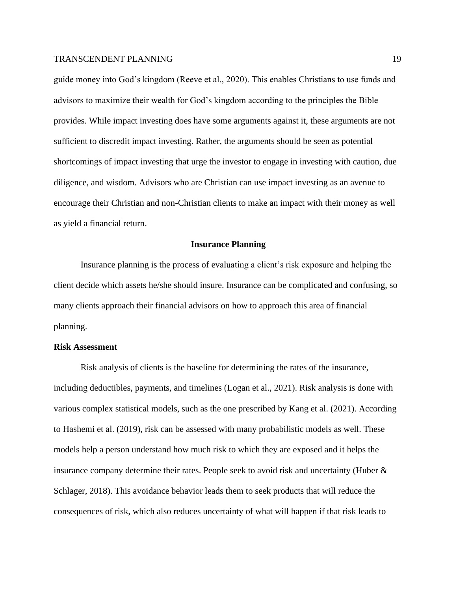guide money into God's kingdom (Reeve et al., 2020). This enables Christians to use funds and advisors to maximize their wealth for God's kingdom according to the principles the Bible provides. While impact investing does have some arguments against it, these arguments are not sufficient to discredit impact investing. Rather, the arguments should be seen as potential shortcomings of impact investing that urge the investor to engage in investing with caution, due diligence, and wisdom. Advisors who are Christian can use impact investing as an avenue to encourage their Christian and non-Christian clients to make an impact with their money as well as yield a financial return.

#### **Insurance Planning**

Insurance planning is the process of evaluating a client's risk exposure and helping the client decide which assets he/she should insure. Insurance can be complicated and confusing, so many clients approach their financial advisors on how to approach this area of financial planning.

#### **Risk Assessment**

Risk analysis of clients is the baseline for determining the rates of the insurance, including deductibles, payments, and timelines (Logan et al., 2021). Risk analysis is done with various complex statistical models, such as the one prescribed by Kang et al. (2021). According to Hashemi et al. (2019), risk can be assessed with many probabilistic models as well. These models help a person understand how much risk to which they are exposed and it helps the insurance company determine their rates. People seek to avoid risk and uncertainty (Huber & Schlager, 2018). This avoidance behavior leads them to seek products that will reduce the consequences of risk, which also reduces uncertainty of what will happen if that risk leads to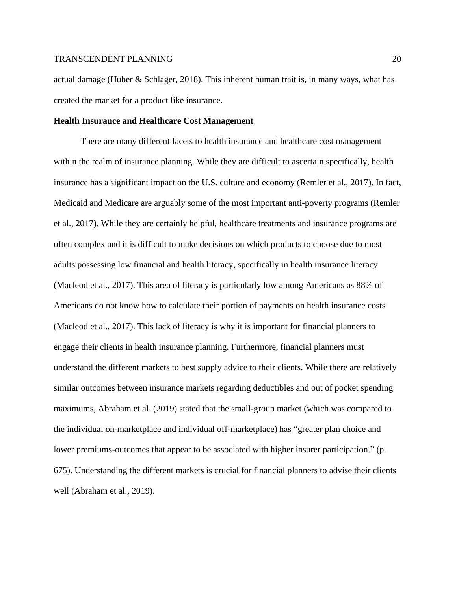actual damage (Huber & Schlager, 2018). This inherent human trait is, in many ways, what has created the market for a product like insurance.

## **Health Insurance and Healthcare Cost Management**

There are many different facets to health insurance and healthcare cost management within the realm of insurance planning. While they are difficult to ascertain specifically, health insurance has a significant impact on the U.S. culture and economy (Remler et al., 2017). In fact, Medicaid and Medicare are arguably some of the most important anti-poverty programs (Remler et al., 2017). While they are certainly helpful, healthcare treatments and insurance programs are often complex and it is difficult to make decisions on which products to choose due to most adults possessing low financial and health literacy, specifically in health insurance literacy (Macleod et al., 2017). This area of literacy is particularly low among Americans as 88% of Americans do not know how to calculate their portion of payments on health insurance costs (Macleod et al., 2017). This lack of literacy is why it is important for financial planners to engage their clients in health insurance planning. Furthermore, financial planners must understand the different markets to best supply advice to their clients. While there are relatively similar outcomes between insurance markets regarding deductibles and out of pocket spending maximums, Abraham et al. (2019) stated that the small-group market (which was compared to the individual on-marketplace and individual off-marketplace) has "greater plan choice and lower premiums-outcomes that appear to be associated with higher insurer participation." (p. 675). Understanding the different markets is crucial for financial planners to advise their clients well (Abraham et al., 2019).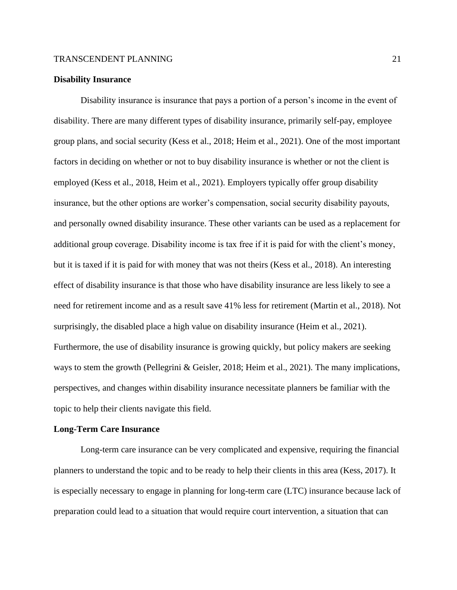## **Disability Insurance**

Disability insurance is insurance that pays a portion of a person's income in the event of disability. There are many different types of disability insurance, primarily self-pay, employee group plans, and social security (Kess et al., 2018; Heim et al., 2021). One of the most important factors in deciding on whether or not to buy disability insurance is whether or not the client is employed (Kess et al., 2018, Heim et al., 2021). Employers typically offer group disability insurance, but the other options are worker's compensation, social security disability payouts, and personally owned disability insurance. These other variants can be used as a replacement for additional group coverage. Disability income is tax free if it is paid for with the client's money, but it is taxed if it is paid for with money that was not theirs (Kess et al., 2018). An interesting effect of disability insurance is that those who have disability insurance are less likely to see a need for retirement income and as a result save 41% less for retirement (Martin et al., 2018). Not surprisingly, the disabled place a high value on disability insurance (Heim et al., 2021). Furthermore, the use of disability insurance is growing quickly, but policy makers are seeking ways to stem the growth (Pellegrini & Geisler, 2018; Heim et al., 2021). The many implications, perspectives, and changes within disability insurance necessitate planners be familiar with the topic to help their clients navigate this field.

#### **Long-Term Care Insurance**

Long-term care insurance can be very complicated and expensive, requiring the financial planners to understand the topic and to be ready to help their clients in this area (Kess, 2017). It is especially necessary to engage in planning for long-term care (LTC) insurance because lack of preparation could lead to a situation that would require court intervention, a situation that can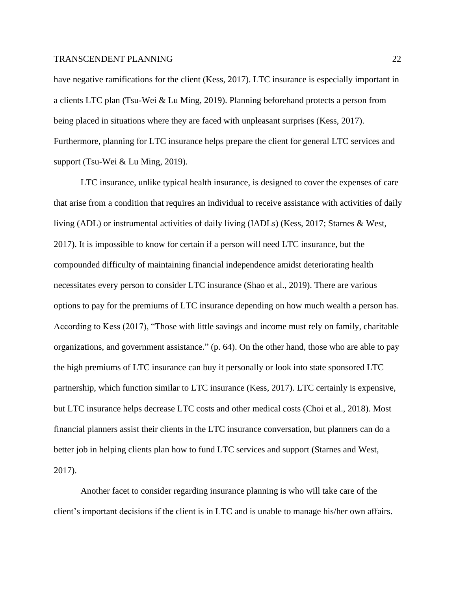have negative ramifications for the client (Kess, 2017). LTC insurance is especially important in a clients LTC plan (Tsu-Wei & Lu Ming, 2019). Planning beforehand protects a person from being placed in situations where they are faced with unpleasant surprises (Kess, 2017). Furthermore, planning for LTC insurance helps prepare the client for general LTC services and support (Tsu-Wei & Lu Ming, 2019).

LTC insurance, unlike typical health insurance, is designed to cover the expenses of care that arise from a condition that requires an individual to receive assistance with activities of daily living (ADL) or instrumental activities of daily living (IADLs) (Kess, 2017; Starnes & West, 2017). It is impossible to know for certain if a person will need LTC insurance, but the compounded difficulty of maintaining financial independence amidst deteriorating health necessitates every person to consider LTC insurance (Shao et al., 2019). There are various options to pay for the premiums of LTC insurance depending on how much wealth a person has. According to Kess (2017), "Those with little savings and income must rely on family, charitable organizations, and government assistance." (p. 64). On the other hand, those who are able to pay the high premiums of LTC insurance can buy it personally or look into state sponsored LTC partnership, which function similar to LTC insurance (Kess, 2017). LTC certainly is expensive, but LTC insurance helps decrease LTC costs and other medical costs (Choi et al., 2018). Most financial planners assist their clients in the LTC insurance conversation, but planners can do a better job in helping clients plan how to fund LTC services and support (Starnes and West, 2017).

Another facet to consider regarding insurance planning is who will take care of the client's important decisions if the client is in LTC and is unable to manage his/her own affairs.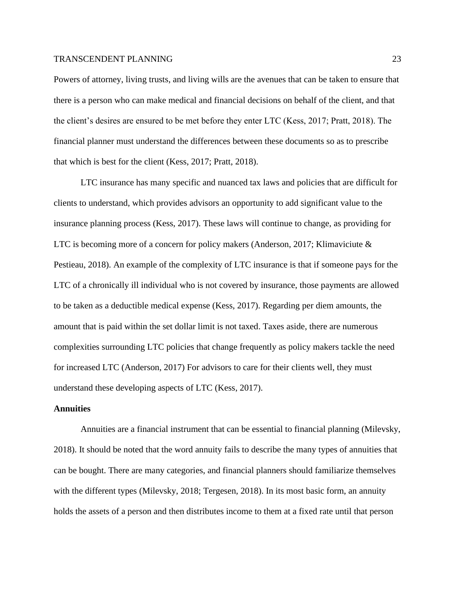Powers of attorney, living trusts, and living wills are the avenues that can be taken to ensure that there is a person who can make medical and financial decisions on behalf of the client, and that the client's desires are ensured to be met before they enter LTC (Kess, 2017; Pratt, 2018). The financial planner must understand the differences between these documents so as to prescribe that which is best for the client (Kess, 2017; Pratt, 2018).

LTC insurance has many specific and nuanced tax laws and policies that are difficult for clients to understand, which provides advisors an opportunity to add significant value to the insurance planning process (Kess, 2017). These laws will continue to change, as providing for LTC is becoming more of a concern for policy makers (Anderson, 2017; Klimaviciute & Pestieau, 2018). An example of the complexity of LTC insurance is that if someone pays for the LTC of a chronically ill individual who is not covered by insurance, those payments are allowed to be taken as a deductible medical expense (Kess, 2017). Regarding per diem amounts, the amount that is paid within the set dollar limit is not taxed. Taxes aside, there are numerous complexities surrounding LTC policies that change frequently as policy makers tackle the need for increased LTC (Anderson, 2017) For advisors to care for their clients well, they must understand these developing aspects of LTC (Kess, 2017).

## **Annuities**

Annuities are a financial instrument that can be essential to financial planning (Milevsky, 2018). It should be noted that the word annuity fails to describe the many types of annuities that can be bought. There are many categories, and financial planners should familiarize themselves with the different types (Milevsky, 2018; Tergesen, 2018). In its most basic form, an annuity holds the assets of a person and then distributes income to them at a fixed rate until that person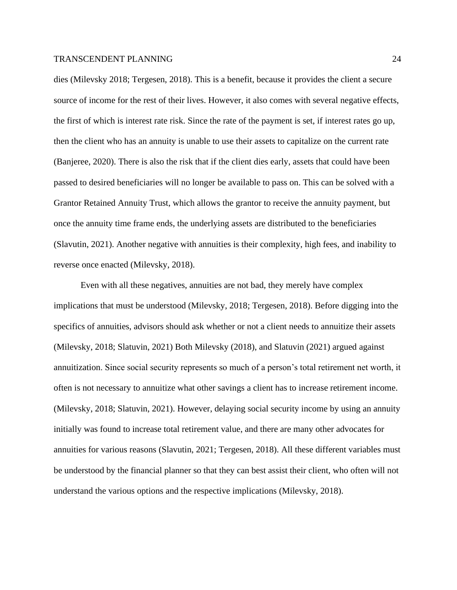dies (Milevsky 2018; Tergesen, 2018). This is a benefit, because it provides the client a secure source of income for the rest of their lives. However, it also comes with several negative effects, the first of which is interest rate risk. Since the rate of the payment is set, if interest rates go up, then the client who has an annuity is unable to use their assets to capitalize on the current rate (Banjeree, 2020). There is also the risk that if the client dies early, assets that could have been passed to desired beneficiaries will no longer be available to pass on. This can be solved with a Grantor Retained Annuity Trust, which allows the grantor to receive the annuity payment, but once the annuity time frame ends, the underlying assets are distributed to the beneficiaries (Slavutin, 2021). Another negative with annuities is their complexity, high fees, and inability to reverse once enacted (Milevsky, 2018).

Even with all these negatives, annuities are not bad, they merely have complex implications that must be understood (Milevsky, 2018; Tergesen, 2018). Before digging into the specifics of annuities, advisors should ask whether or not a client needs to annuitize their assets (Milevsky, 2018; Slatuvin, 2021) Both Milevsky (2018), and Slatuvin (2021) argued against annuitization. Since social security represents so much of a person's total retirement net worth, it often is not necessary to annuitize what other savings a client has to increase retirement income. (Milevsky, 2018; Slatuvin, 2021). However, delaying social security income by using an annuity initially was found to increase total retirement value, and there are many other advocates for annuities for various reasons (Slavutin, 2021; Tergesen, 2018). All these different variables must be understood by the financial planner so that they can best assist their client, who often will not understand the various options and the respective implications (Milevsky, 2018).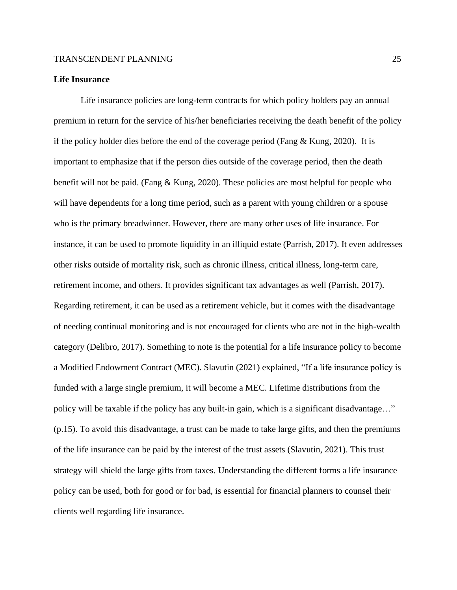## **Life Insurance**

Life insurance policies are long-term contracts for which policy holders pay an annual premium in return for the service of his/her beneficiaries receiving the death benefit of the policy if the policy holder dies before the end of the coverage period (Fang  $\&$  Kung, 2020). It is important to emphasize that if the person dies outside of the coverage period, then the death benefit will not be paid. (Fang & Kung, 2020). These policies are most helpful for people who will have dependents for a long time period, such as a parent with young children or a spouse who is the primary breadwinner. However, there are many other uses of life insurance. For instance, it can be used to promote liquidity in an illiquid estate (Parrish, 2017). It even addresses other risks outside of mortality risk, such as chronic illness, critical illness, long-term care, retirement income, and others. It provides significant tax advantages as well (Parrish, 2017). Regarding retirement, it can be used as a retirement vehicle, but it comes with the disadvantage of needing continual monitoring and is not encouraged for clients who are not in the high-wealth category (Delibro, 2017). Something to note is the potential for a life insurance policy to become a Modified Endowment Contract (MEC). Slavutin (2021) explained, "If a life insurance policy is funded with a large single premium, it will become a MEC. Lifetime distributions from the policy will be taxable if the policy has any built-in gain, which is a significant disadvantage…" (p.15). To avoid this disadvantage, a trust can be made to take large gifts, and then the premiums of the life insurance can be paid by the interest of the trust assets (Slavutin, 2021). This trust strategy will shield the large gifts from taxes. Understanding the different forms a life insurance policy can be used, both for good or for bad, is essential for financial planners to counsel their clients well regarding life insurance.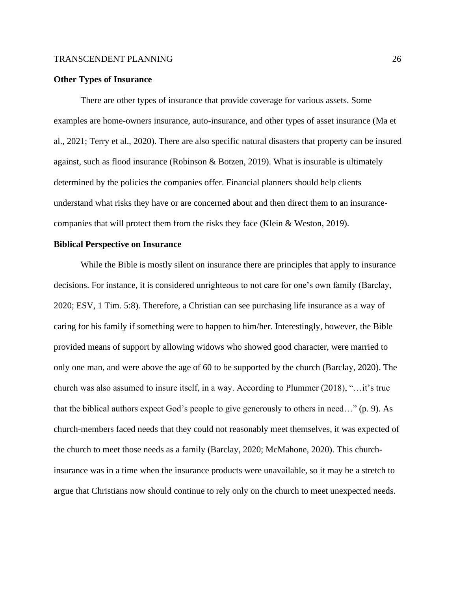#### **Other Types of Insurance**

There are other types of insurance that provide coverage for various assets. Some examples are home-owners insurance, auto-insurance, and other types of asset insurance (Ma et al., 2021; Terry et al., 2020). There are also specific natural disasters that property can be insured against, such as flood insurance (Robinson & Botzen, 2019). What is insurable is ultimately determined by the policies the companies offer. Financial planners should help clients understand what risks they have or are concerned about and then direct them to an insurancecompanies that will protect them from the risks they face (Klein & Weston, 2019).

## **Biblical Perspective on Insurance**

While the Bible is mostly silent on insurance there are principles that apply to insurance decisions. For instance, it is considered unrighteous to not care for one's own family (Barclay, 2020; ESV, 1 Tim. 5:8). Therefore, a Christian can see purchasing life insurance as a way of caring for his family if something were to happen to him/her. Interestingly, however, the Bible provided means of support by allowing widows who showed good character, were married to only one man, and were above the age of 60 to be supported by the church (Barclay, 2020). The church was also assumed to insure itself, in a way. According to Plummer (2018), "…it's true that the biblical authors expect God's people to give generously to others in need…" (p. 9). As church-members faced needs that they could not reasonably meet themselves, it was expected of the church to meet those needs as a family (Barclay, 2020; McMahone, 2020). This churchinsurance was in a time when the insurance products were unavailable, so it may be a stretch to argue that Christians now should continue to rely only on the church to meet unexpected needs.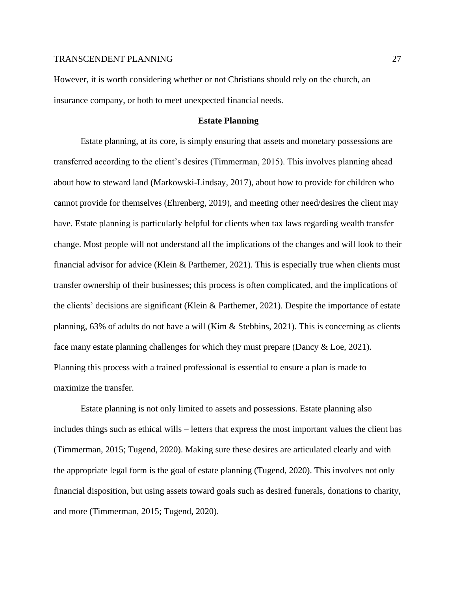However, it is worth considering whether or not Christians should rely on the church, an insurance company, or both to meet unexpected financial needs.

## **Estate Planning**

Estate planning, at its core, is simply ensuring that assets and monetary possessions are transferred according to the client's desires (Timmerman, 2015). This involves planning ahead about how to steward land (Markowski-Lindsay, 2017), about how to provide for children who cannot provide for themselves (Ehrenberg, 2019), and meeting other need/desires the client may have. Estate planning is particularly helpful for clients when tax laws regarding wealth transfer change. Most people will not understand all the implications of the changes and will look to their financial advisor for advice (Klein & Parthemer, 2021). This is especially true when clients must transfer ownership of their businesses; this process is often complicated, and the implications of the clients' decisions are significant (Klein & Parthemer, 2021). Despite the importance of estate planning, 63% of adults do not have a will (Kim & Stebbins, 2021). This is concerning as clients face many estate planning challenges for which they must prepare (Dancy & Loe, 2021). Planning this process with a trained professional is essential to ensure a plan is made to maximize the transfer.

Estate planning is not only limited to assets and possessions. Estate planning also includes things such as ethical wills – letters that express the most important values the client has (Timmerman, 2015; Tugend, 2020). Making sure these desires are articulated clearly and with the appropriate legal form is the goal of estate planning (Tugend, 2020). This involves not only financial disposition, but using assets toward goals such as desired funerals, donations to charity, and more (Timmerman, 2015; Tugend, 2020).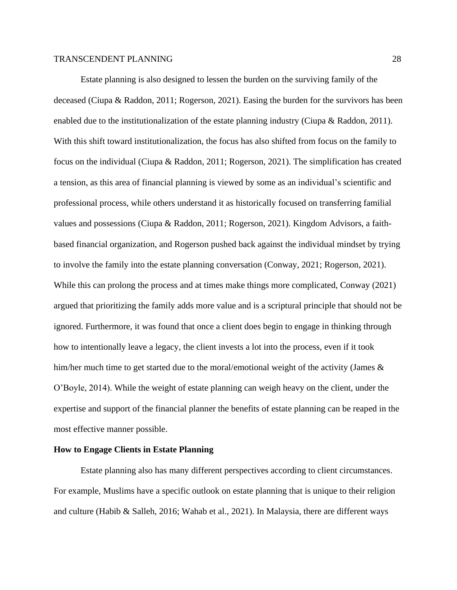Estate planning is also designed to lessen the burden on the surviving family of the deceased (Ciupa & Raddon, 2011; Rogerson, 2021). Easing the burden for the survivors has been enabled due to the institutionalization of the estate planning industry (Ciupa & Raddon, 2011). With this shift toward institutionalization, the focus has also shifted from focus on the family to focus on the individual (Ciupa & Raddon, 2011; Rogerson, 2021). The simplification has created a tension, as this area of financial planning is viewed by some as an individual's scientific and professional process, while others understand it as historically focused on transferring familial values and possessions (Ciupa & Raddon, 2011; Rogerson, 2021). Kingdom Advisors, a faithbased financial organization, and Rogerson pushed back against the individual mindset by trying to involve the family into the estate planning conversation (Conway, 2021; Rogerson, 2021). While this can prolong the process and at times make things more complicated, Conway (2021) argued that prioritizing the family adds more value and is a scriptural principle that should not be ignored. Furthermore, it was found that once a client does begin to engage in thinking through how to intentionally leave a legacy, the client invests a lot into the process, even if it took him/her much time to get started due to the moral/emotional weight of the activity (James & O'Boyle, 2014). While the weight of estate planning can weigh heavy on the client, under the expertise and support of the financial planner the benefits of estate planning can be reaped in the most effective manner possible.

## **How to Engage Clients in Estate Planning**

Estate planning also has many different perspectives according to client circumstances. For example, Muslims have a specific outlook on estate planning that is unique to their religion and culture (Habib & Salleh, 2016; Wahab et al., 2021). In Malaysia, there are different ways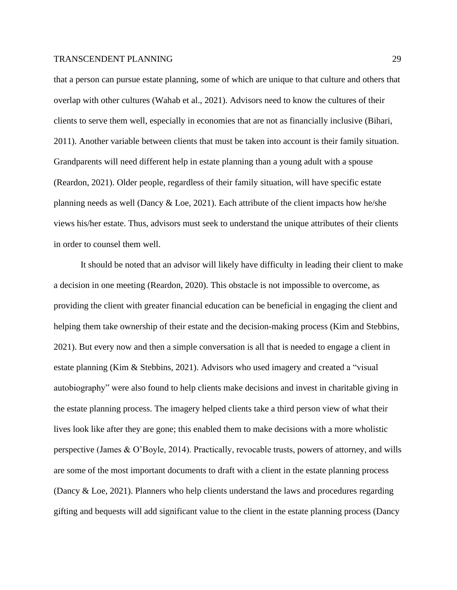that a person can pursue estate planning, some of which are unique to that culture and others that overlap with other cultures (Wahab et al., 2021). Advisors need to know the cultures of their clients to serve them well, especially in economies that are not as financially inclusive (Bihari, 2011). Another variable between clients that must be taken into account is their family situation. Grandparents will need different help in estate planning than a young adult with a spouse (Reardon, 2021). Older people, regardless of their family situation, will have specific estate planning needs as well (Dancy & Loe, 2021). Each attribute of the client impacts how he/she views his/her estate. Thus, advisors must seek to understand the unique attributes of their clients in order to counsel them well.

It should be noted that an advisor will likely have difficulty in leading their client to make a decision in one meeting (Reardon, 2020). This obstacle is not impossible to overcome, as providing the client with greater financial education can be beneficial in engaging the client and helping them take ownership of their estate and the decision-making process (Kim and Stebbins, 2021). But every now and then a simple conversation is all that is needed to engage a client in estate planning (Kim & Stebbins, 2021). Advisors who used imagery and created a "visual autobiography" were also found to help clients make decisions and invest in charitable giving in the estate planning process. The imagery helped clients take a third person view of what their lives look like after they are gone; this enabled them to make decisions with a more wholistic perspective (James & O'Boyle, 2014). Practically, revocable trusts, powers of attorney, and wills are some of the most important documents to draft with a client in the estate planning process (Dancy & Loe, 2021). Planners who help clients understand the laws and procedures regarding gifting and bequests will add significant value to the client in the estate planning process (Dancy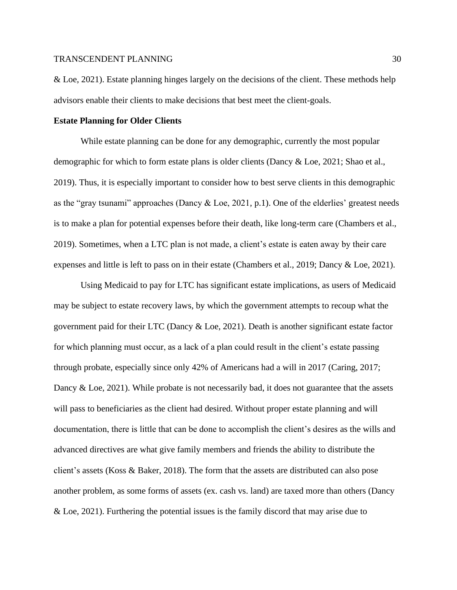& Loe, 2021). Estate planning hinges largely on the decisions of the client. These methods help advisors enable their clients to make decisions that best meet the client-goals.

#### **Estate Planning for Older Clients**

While estate planning can be done for any demographic, currently the most popular demographic for which to form estate plans is older clients (Dancy & Loe, 2021; Shao et al., 2019). Thus, it is especially important to consider how to best serve clients in this demographic as the "gray tsunami" approaches (Dancy  $\&$  Loe, 2021, p.1). One of the elderlies' greatest needs is to make a plan for potential expenses before their death, like long-term care (Chambers et al., 2019). Sometimes, when a LTC plan is not made, a client's estate is eaten away by their care expenses and little is left to pass on in their estate (Chambers et al., 2019; Dancy & Loe, 2021).

Using Medicaid to pay for LTC has significant estate implications, as users of Medicaid may be subject to estate recovery laws, by which the government attempts to recoup what the government paid for their LTC (Dancy & Loe, 2021). Death is another significant estate factor for which planning must occur, as a lack of a plan could result in the client's estate passing through probate, especially since only 42% of Americans had a will in 2017 (Caring, 2017; Dancy & Loe, 2021). While probate is not necessarily bad, it does not guarantee that the assets will pass to beneficiaries as the client had desired. Without proper estate planning and will documentation, there is little that can be done to accomplish the client's desires as the wills and advanced directives are what give family members and friends the ability to distribute the client's assets (Koss & Baker, 2018). The form that the assets are distributed can also pose another problem, as some forms of assets (ex. cash vs. land) are taxed more than others (Dancy & Loe, 2021). Furthering the potential issues is the family discord that may arise due to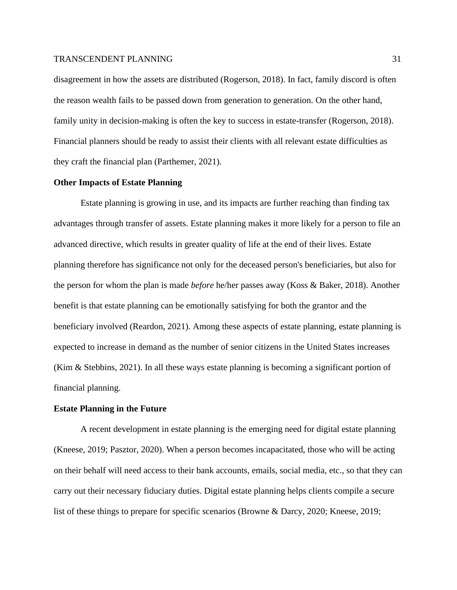disagreement in how the assets are distributed (Rogerson, 2018). In fact, family discord is often the reason wealth fails to be passed down from generation to generation. On the other hand, family unity in decision-making is often the key to success in estate-transfer (Rogerson, 2018). Financial planners should be ready to assist their clients with all relevant estate difficulties as they craft the financial plan (Parthemer, 2021).

#### **Other Impacts of Estate Planning**

Estate planning is growing in use, and its impacts are further reaching than finding tax advantages through transfer of assets. Estate planning makes it more likely for a person to file an advanced directive, which results in greater quality of life at the end of their lives. Estate planning therefore has significance not only for the deceased person's beneficiaries, but also for the person for whom the plan is made *before* he/her passes away (Koss & Baker, 2018). Another benefit is that estate planning can be emotionally satisfying for both the grantor and the beneficiary involved (Reardon, 2021). Among these aspects of estate planning, estate planning is expected to increase in demand as the number of senior citizens in the United States increases (Kim & Stebbins, 2021). In all these ways estate planning is becoming a significant portion of financial planning.

#### **Estate Planning in the Future**

A recent development in estate planning is the emerging need for digital estate planning (Kneese, 2019; Pasztor, 2020). When a person becomes incapacitated, those who will be acting on their behalf will need access to their bank accounts, emails, social media, etc., so that they can carry out their necessary fiduciary duties. Digital estate planning helps clients compile a secure list of these things to prepare for specific scenarios (Browne & Darcy, 2020; Kneese, 2019;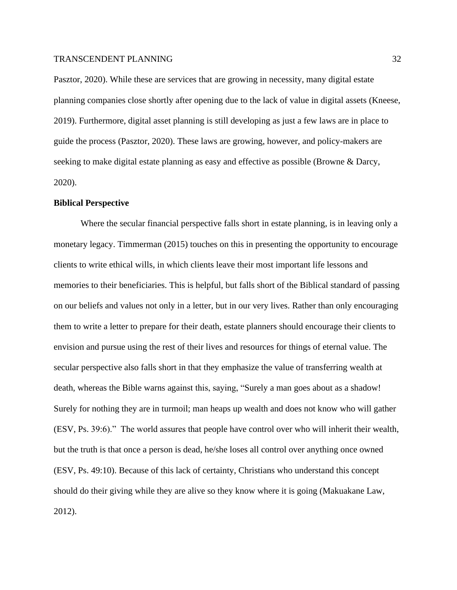Pasztor, 2020). While these are services that are growing in necessity, many digital estate planning companies close shortly after opening due to the lack of value in digital assets (Kneese, 2019). Furthermore, digital asset planning is still developing as just a few laws are in place to guide the process (Pasztor, 2020). These laws are growing, however, and policy-makers are seeking to make digital estate planning as easy and effective as possible (Browne & Darcy, 2020).

#### **Biblical Perspective**

Where the secular financial perspective falls short in estate planning, is in leaving only a monetary legacy. Timmerman (2015) touches on this in presenting the opportunity to encourage clients to write ethical wills, in which clients leave their most important life lessons and memories to their beneficiaries. This is helpful, but falls short of the Biblical standard of passing on our beliefs and values not only in a letter, but in our very lives. Rather than only encouraging them to write a letter to prepare for their death, estate planners should encourage their clients to envision and pursue using the rest of their lives and resources for things of eternal value. The secular perspective also falls short in that they emphasize the value of transferring wealth at death, whereas the Bible warns against this, saying, "Surely a man goes about as a shadow! Surely for nothing they are in turmoil; man heaps up wealth and does not know who will gather (ESV, Ps. 39:6)." The world assures that people have control over who will inherit their wealth, but the truth is that once a person is dead, he/she loses all control over anything once owned (ESV, Ps. 49:10). Because of this lack of certainty, Christians who understand this concept should do their giving while they are alive so they know where it is going (Makuakane Law, 2012).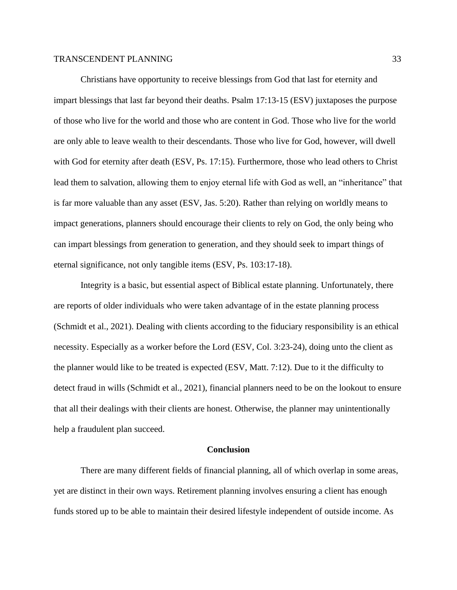Christians have opportunity to receive blessings from God that last for eternity and impart blessings that last far beyond their deaths. Psalm 17:13-15 (ESV) juxtaposes the purpose of those who live for the world and those who are content in God. Those who live for the world are only able to leave wealth to their descendants. Those who live for God, however, will dwell with God for eternity after death (ESV, Ps. 17:15). Furthermore, those who lead others to Christ lead them to salvation, allowing them to enjoy eternal life with God as well, an "inheritance" that is far more valuable than any asset (ESV, Jas. 5:20). Rather than relying on worldly means to impact generations, planners should encourage their clients to rely on God, the only being who can impart blessings from generation to generation, and they should seek to impart things of eternal significance, not only tangible items (ESV, Ps. 103:17-18).

Integrity is a basic, but essential aspect of Biblical estate planning. Unfortunately, there are reports of older individuals who were taken advantage of in the estate planning process (Schmidt et al., 2021). Dealing with clients according to the fiduciary responsibility is an ethical necessity. Especially as a worker before the Lord (ESV, Col. 3:23-24), doing unto the client as the planner would like to be treated is expected (ESV, Matt. 7:12). Due to it the difficulty to detect fraud in wills (Schmidt et al., 2021), financial planners need to be on the lookout to ensure that all their dealings with their clients are honest. Otherwise, the planner may unintentionally help a fraudulent plan succeed.

#### **Conclusion**

There are many different fields of financial planning, all of which overlap in some areas, yet are distinct in their own ways. Retirement planning involves ensuring a client has enough funds stored up to be able to maintain their desired lifestyle independent of outside income. As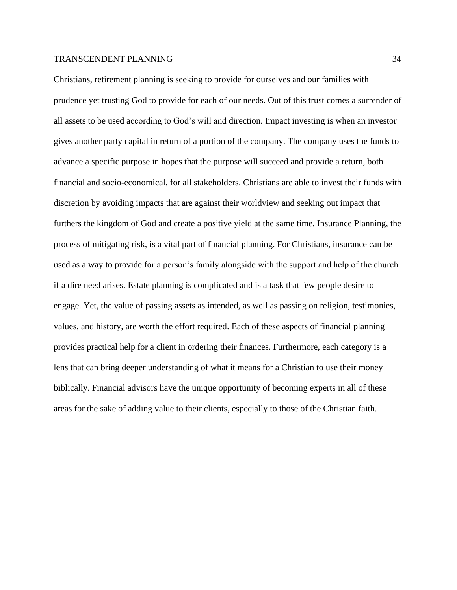Christians, retirement planning is seeking to provide for ourselves and our families with prudence yet trusting God to provide for each of our needs. Out of this trust comes a surrender of all assets to be used according to God's will and direction. Impact investing is when an investor gives another party capital in return of a portion of the company. The company uses the funds to advance a specific purpose in hopes that the purpose will succeed and provide a return, both financial and socio-economical, for all stakeholders. Christians are able to invest their funds with discretion by avoiding impacts that are against their worldview and seeking out impact that furthers the kingdom of God and create a positive yield at the same time. Insurance Planning, the process of mitigating risk, is a vital part of financial planning. For Christians, insurance can be used as a way to provide for a person's family alongside with the support and help of the church if a dire need arises. Estate planning is complicated and is a task that few people desire to engage. Yet, the value of passing assets as intended, as well as passing on religion, testimonies, values, and history, are worth the effort required. Each of these aspects of financial planning provides practical help for a client in ordering their finances. Furthermore, each category is a lens that can bring deeper understanding of what it means for a Christian to use their money biblically. Financial advisors have the unique opportunity of becoming experts in all of these areas for the sake of adding value to their clients, especially to those of the Christian faith.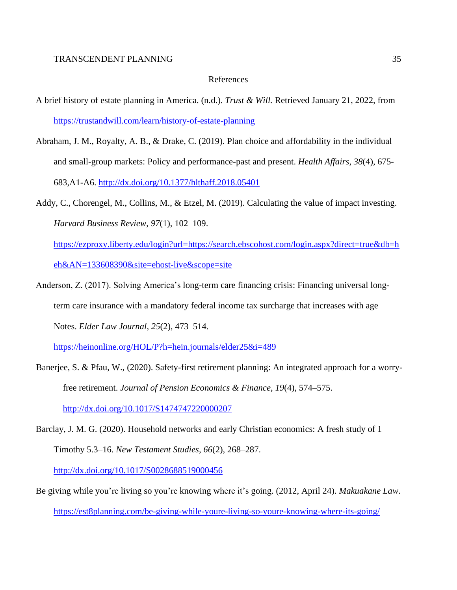#### References

- A brief history of estate planning in America. (n.d.). *Trust & Will.* Retrieved January 21, 2022, from <https://trustandwill.com/learn/history-of-estate-planning>
- Abraham, J. M., Royalty, A. B., & Drake, C. (2019). Plan choice and affordability in the individual and small-group markets: Policy and performance-past and present. *Health Affairs*, *38*(4), 675- 683,A1-A6.<http://dx.doi.org/10.1377/hlthaff.2018.05401>
- Addy, C., Chorengel, M., Collins, M., & Etzel, M. (2019). Calculating the value of impact investing. *Harvard Business Review*, *97*(1), 102–109.
	- [https://ezproxy.liberty.edu/login?url=https://search.ebscohost.com/login.aspx?direct=true&db=h](https://ezproxy.liberty.edu/login?url=https://search.ebscohost.com/login.aspx?direct=true&db=heh&AN=133608390&site=ehost-live&scope=site) [eh&AN=133608390&site=ehost-live&scope=site](https://ezproxy.liberty.edu/login?url=https://search.ebscohost.com/login.aspx?direct=true&db=heh&AN=133608390&site=ehost-live&scope=site)
- Anderson, Z. (2017). Solving America's long-term care financing crisis: Financing universal longterm care insurance with a mandatory federal income tax surcharge that increases with age Notes. *Elder Law Journal*, *25*(2), 473–514.

<https://heinonline.org/HOL/P?h=hein.journals/elder25&i=489>

- Banerjee, S. & Pfau, W., (2020). Safety-first retirement planning: An integrated approach for a worryfree retirement. *Journal of Pension Economics & Finance*, *19*(4), 574–575. <http://dx.doi.org/10.1017/S1474747220000207>
- Barclay, J. M. G. (2020). Household networks and early Christian economics: A fresh study of 1 Timothy 5.3–16. *New Testament Studies*, *66*(2), 268–287.

<http://dx.doi.org/10.1017/S0028688519000456>

Be giving while you're living so you're knowing where it's going. (2012, April 24). *Makuakane Law*. <https://est8planning.com/be-giving-while-youre-living-so-youre-knowing-where-its-going/>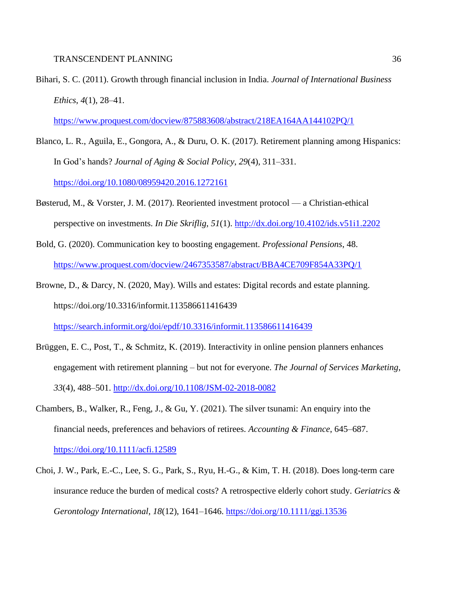Bihari, S. C. (2011). Growth through financial inclusion in India. *Journal of International Business Ethics*, *4*(1), 28–41.

<https://www.proquest.com/docview/875883608/abstract/218EA164AA144102PQ/1>

- Blanco, L. R., Aguila, E., Gongora, A., & Duru, O. K. (2017). Retirement planning among Hispanics: In God's hands? *Journal of Aging & Social Policy*, *29*(4), 311–331. <https://doi.org/10.1080/08959420.2016.1272161>
- Bøsterud, M., & Vorster, J. M. (2017). Reoriented investment protocol a Christian-ethical perspective on investments. *In Die Skriflig*, *51*(1).<http://dx.doi.org/10.4102/ids.v51i1.2202>
- Bold, G. (2020). Communication key to boosting engagement. *Professional Pensions*, 48. <https://www.proquest.com/docview/2467353587/abstract/BBA4CE709F854A33PQ/1>
- Browne, D., & Darcy, N. (2020, May). Wills and estates: Digital records and estate planning. https://doi.org/10.3316/informit.113586611416439 <https://search.informit.org/doi/epdf/10.3316/informit.113586611416439>
- Brüggen, E. C., Post, T., & Schmitz, K. (2019). Interactivity in online pension planners enhances engagement with retirement planning – but not for everyone. *The Journal of Services Marketing*, *33*(4), 488–501.<http://dx.doi.org/10.1108/JSM-02-2018-0082>
- Chambers, B., Walker, R., Feng, J., & Gu, Y. (2021). The silver tsunami: An enquiry into the financial needs, preferences and behaviors of retirees. *Accounting & Finance*, 645–687. <https://doi.org/10.1111/acfi.12589>
- Choi, J. W., Park, E.-C., Lee, S. G., Park, S., Ryu, H.-G., & Kim, T. H. (2018). Does long-term care insurance reduce the burden of medical costs? A retrospective elderly cohort study. *Geriatrics & Gerontology International*, *18*(12), 1641–1646.<https://doi.org/10.1111/ggi.13536>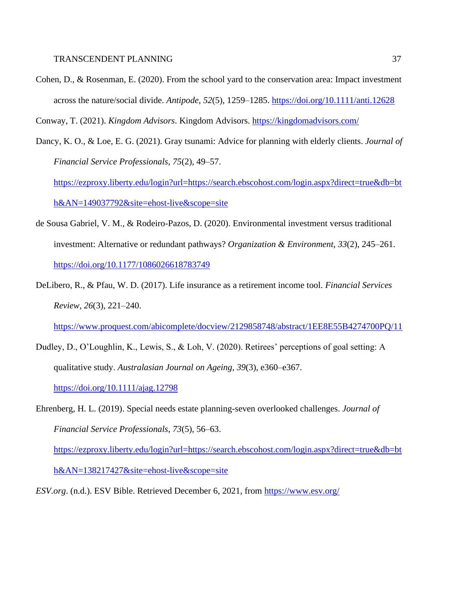Cohen, D., & Rosenman, E. (2020). From the school yard to the conservation area: Impact investment across the nature/social divide. *Antipode*, *52*(5), 1259–1285.<https://doi.org/10.1111/anti.12628>

Conway, T. (2021). *Kingdom Advisors*. Kingdom Advisors.<https://kingdomadvisors.com/>

Dancy, K. O., & Loe, E. G. (2021). Gray tsunami: Advice for planning with elderly clients. *Journal of Financial Service Professionals*, *75*(2), 49–57.

[https://ezproxy.liberty.edu/login?url=https://search.ebscohost.com/login.aspx?direct=true&db=bt](https://ezproxy.liberty.edu/login?url=https://search.ebscohost.com/login.aspx?direct=true&db=bth&AN=149037792&site=ehost-live&scope=site) [h&AN=149037792&site=ehost-live&scope=site](https://ezproxy.liberty.edu/login?url=https://search.ebscohost.com/login.aspx?direct=true&db=bth&AN=149037792&site=ehost-live&scope=site)

- de Sousa Gabriel, V. M., & Rodeiro-Pazos, D. (2020). Environmental investment versus traditional investment: Alternative or redundant pathways? *Organization & Environment*, *33*(2), 245–261. <https://doi.org/10.1177/1086026618783749>
- DeLibero, R., & Pfau, W. D. (2017). Life insurance as a retirement income tool. *Financial Services Review*, *26*(3), 221–240.

<https://www.proquest.com/abicomplete/docview/2129858748/abstract/1EE8E55B4274700PQ/11>

Dudley, D., O'Loughlin, K., Lewis, S., & Loh, V. (2020). Retirees' perceptions of goal setting: A qualitative study. *Australasian Journal on Ageing*, *39*(3), e360–e367. <https://doi.org/10.1111/ajag.12798>

Ehrenberg, H. L. (2019). Special needs estate planning-seven overlooked challenges. *Journal of Financial Service Professionals*, *73*(5), 56–63.

[https://ezproxy.liberty.edu/login?url=https://search.ebscohost.com/login.aspx?direct=true&db=bt](https://ezproxy.liberty.edu/login?url=https://search.ebscohost.com/login.aspx?direct=true&db=bth&AN=138217427&site=ehost-live&scope=site) [h&AN=138217427&site=ehost-live&scope=site](https://ezproxy.liberty.edu/login?url=https://search.ebscohost.com/login.aspx?direct=true&db=bth&AN=138217427&site=ehost-live&scope=site)

*ESV.org*. (n.d.). ESV Bible. Retrieved December 6, 2021, from<https://www.esv.org/>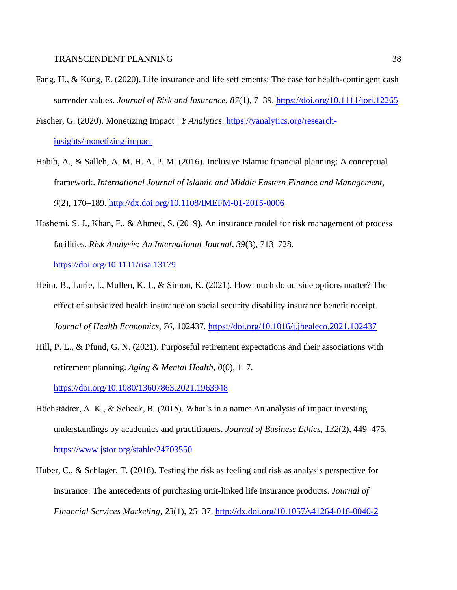- Fang, H., & Kung, E. (2020). Life insurance and life settlements: The case for health-contingent cash surrender values. *Journal of Risk and Insurance*, *87*(1), 7–39.<https://doi.org/10.1111/jori.12265>
- Fischer, G. (2020). Monetizing Impact *| Y Analytics*. [https://yanalytics.org/research](https://yanalytics.org/research-insights/monetizing-impact)[insights/monetizing-impact](https://yanalytics.org/research-insights/monetizing-impact)
- Habib, A., & Salleh, A. M. H. A. P. M. (2016). Inclusive Islamic financial planning: A conceptual framework. *International Journal of Islamic and Middle Eastern Finance and Management*, *9*(2), 170–189.<http://dx.doi.org/10.1108/IMEFM-01-2015-0006>
- Hashemi, S. J., Khan, F., & Ahmed, S. (2019). An insurance model for risk management of process facilities. *Risk Analysis: An International Journal*, *39*(3), 713–728. <https://doi.org/10.1111/risa.13179>
- Heim, B., Lurie, I., Mullen, K. J., & Simon, K. (2021). How much do outside options matter? The effect of subsidized health insurance on social security disability insurance benefit receipt. *Journal of Health Economics*, *76*, 102437.<https://doi.org/10.1016/j.jhealeco.2021.102437>
- Hill, P. L., & Pfund, G. N. (2021). Purposeful retirement expectations and their associations with retirement planning. *Aging & Mental Health*, *0*(0), 1–7.

<https://doi.org/10.1080/13607863.2021.1963948>

- Höchstädter, A. K., & Scheck, B. (2015). What's in a name: An analysis of impact investing understandings by academics and practitioners. *Journal of Business Ethics*, *132*(2), 449–475. <https://www.jstor.org/stable/24703550>
- Huber, C., & Schlager, T. (2018). Testing the risk as feeling and risk as analysis perspective for insurance: The antecedents of purchasing unit-linked life insurance products. *Journal of Financial Services Marketing*, *23*(1), 25–37.<http://dx.doi.org/10.1057/s41264-018-0040-2>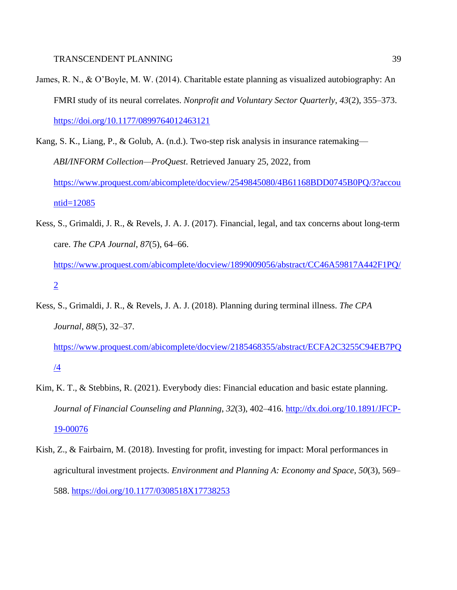- James, R. N., & O'Boyle, M. W. (2014). Charitable estate planning as visualized autobiography: An FMRI study of its neural correlates. *Nonprofit and Voluntary Sector Quarterly*, *43*(2), 355–373. <https://doi.org/10.1177/0899764012463121>
- Kang, S. K., Liang, P., & Golub, A. (n.d.). Two-step risk analysis in insurance ratemaking— *ABI/INFORM Collection—ProQuest*. Retrieved January 25, 2022, from [https://www.proquest.com/abicomplete/docview/2549845080/4B61168BDD0745B0PQ/3?accou](https://www.proquest.com/abicomplete/docview/2549845080/4B61168BDD0745B0PQ/3?accountid=12085) [ntid=12085](https://www.proquest.com/abicomplete/docview/2549845080/4B61168BDD0745B0PQ/3?accountid=12085)
- Kess, S., Grimaldi, J. R., & Revels, J. A. J. (2017). Financial, legal, and tax concerns about long-term care. *The CPA Journal*, *87*(5), 64–66.
	- [https://www.proquest.com/abicomplete/docview/1899009056/abstract/CC46A59817A442F1PQ/](https://www.proquest.com/abicomplete/docview/1899009056/abstract/CC46A59817A442F1PQ/2) [2](https://www.proquest.com/abicomplete/docview/1899009056/abstract/CC46A59817A442F1PQ/2)
- Kess, S., Grimaldi, J. R., & Revels, J. A. J. (2018). Planning during terminal illness. *The CPA Journal*, *88*(5), 32–37.

[https://www.proquest.com/abicomplete/docview/2185468355/abstract/ECFA2C3255C94EB7PQ](https://www.proquest.com/abicomplete/docview/2185468355/abstract/ECFA2C3255C94EB7PQ/4) [/4](https://www.proquest.com/abicomplete/docview/2185468355/abstract/ECFA2C3255C94EB7PQ/4)

- Kim, K. T., & Stebbins, R. (2021). Everybody dies: Financial education and basic estate planning. *Journal of Financial Counseling and Planning*, *32*(3), 402–416. [http://dx.doi.org/10.1891/JFCP-](http://dx.doi.org/10.1891/JFCP-19-00076)[19-00076](http://dx.doi.org/10.1891/JFCP-19-00076)
- Kish, Z., & Fairbairn, M. (2018). Investing for profit, investing for impact: Moral performances in agricultural investment projects. *Environment and Planning A: Economy and Space*, *50*(3), 569– 588.<https://doi.org/10.1177/0308518X17738253>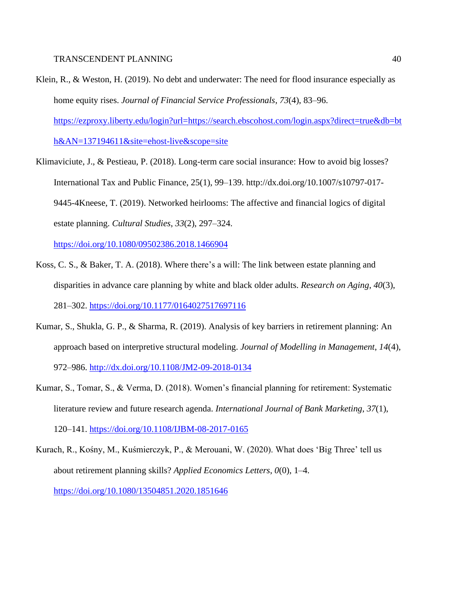- Klein, R., & Weston, H. (2019). No debt and underwater: The need for flood insurance especially as home equity rises. *Journal of Financial Service Professionals*, *73*(4), 83–96. [https://ezproxy.liberty.edu/login?url=https://search.ebscohost.com/login.aspx?direct=true&db=bt](https://ezproxy.liberty.edu/login?url=https://search.ebscohost.com/login.aspx?direct=true&db=bth&AN=137194611&site=ehost-live&scope=site) [h&AN=137194611&site=ehost-live&scope=site](https://ezproxy.liberty.edu/login?url=https://search.ebscohost.com/login.aspx?direct=true&db=bth&AN=137194611&site=ehost-live&scope=site)
- Klimaviciute, J., & Pestieau, P. (2018). Long-term care social insurance: How to avoid big losses? International Tax and Public Finance, 25(1), 99–139. http://dx.doi.org/10.1007/s10797-017- 9445-4Kneese, T. (2019). Networked heirlooms: The affective and financial logics of digital estate planning. *Cultural Studies*, *33*(2), 297–324.

<https://doi.org/10.1080/09502386.2018.1466904>

- Koss, C. S., & Baker, T. A. (2018). Where there's a will: The link between estate planning and disparities in advance care planning by white and black older adults. *Research on Aging*, *40*(3), 281–302.<https://doi.org/10.1177/0164027517697116>
- Kumar, S., Shukla, G. P., & Sharma, R. (2019). Analysis of key barriers in retirement planning: An approach based on interpretive structural modeling. *Journal of Modelling in Management*, *14*(4), 972–986.<http://dx.doi.org/10.1108/JM2-09-2018-0134>
- Kumar, S., Tomar, S., & Verma, D. (2018). Women's financial planning for retirement: Systematic literature review and future research agenda. *International Journal of Bank Marketing*, *37*(1), 120–141.<https://doi.org/10.1108/IJBM-08-2017-0165>
- Kurach, R., Kośny, M., Kuśmierczyk, P., & Merouani, W. (2020). What does 'Big Three' tell us about retirement planning skills? *Applied Economics Letters*, *0*(0), 1–4. <https://doi.org/10.1080/13504851.2020.1851646>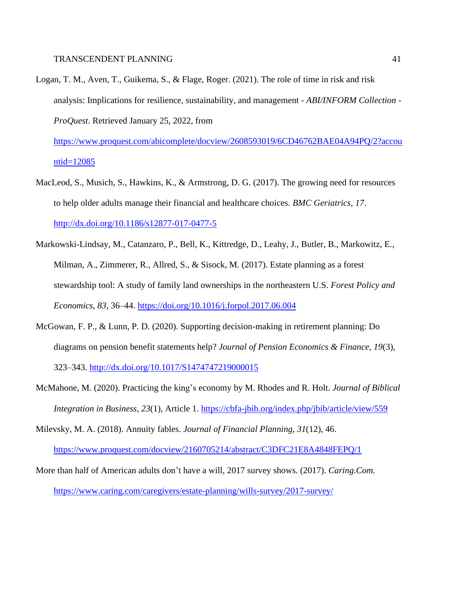Logan, T. M., Aven, T., Guikema, S., & Flage, Roger. (2021). The role of time in risk and risk analysis: Implications for resilience, sustainability, and management *- ABI/INFORM Collection - ProQuest*. Retrieved January 25, 2022, from

[https://www.proquest.com/abicomplete/docview/2608593019/6CD46762BAE04A94PQ/2?accou](https://www.proquest.com/abicomplete/docview/2608593019/6CD46762BAE04A94PQ/2?accountid=12085) [ntid=12085](https://www.proquest.com/abicomplete/docview/2608593019/6CD46762BAE04A94PQ/2?accountid=12085)

- MacLeod, S., Musich, S., Hawkins, K., & Armstrong, D. G. (2017). The growing need for resources to help older adults manage their financial and healthcare choices. *BMC Geriatrics*, *17*. <http://dx.doi.org/10.1186/s12877-017-0477-5>
- Markowski-Lindsay, M., Catanzaro, P., Bell, K., Kittredge, D., Leahy, J., Butler, B., Markowitz, E., Milman, A., Zimmerer, R., Allred, S., & Sisock, M. (2017). Estate planning as a forest stewardship tool: A study of family land ownerships in the northeastern U.S. *Forest Policy and Economics*, *83*, 36–44.<https://doi.org/10.1016/j.forpol.2017.06.004>
- McGowan, F. P., & Lunn, P. D. (2020). Supporting decision-making in retirement planning: Do diagrams on pension benefit statements help? *Journal of Pension Economics & Finance*, *19*(3), 323–343.<http://dx.doi.org/10.1017/S1474747219000015>
- McMahone, M. (2020). Practicing the king's economy by M. Rhodes and R. Holt. *Journal of Biblical Integration in Business*, *23*(1), Article 1.<https://cbfa-jbib.org/index.php/jbib/article/view/559>
- Milevsky, M. A. (2018). Annuity fables. *Journal of Financial Planning*, *31*(12), 46. <https://www.proquest.com/docview/2160705214/abstract/C3DFC21E8A4848FEPQ/1>
- More than half of American adults don't have a will, 2017 survey shows. (2017). *Caring.Com.* <https://www.caring.com/caregivers/estate-planning/wills-survey/2017-survey/>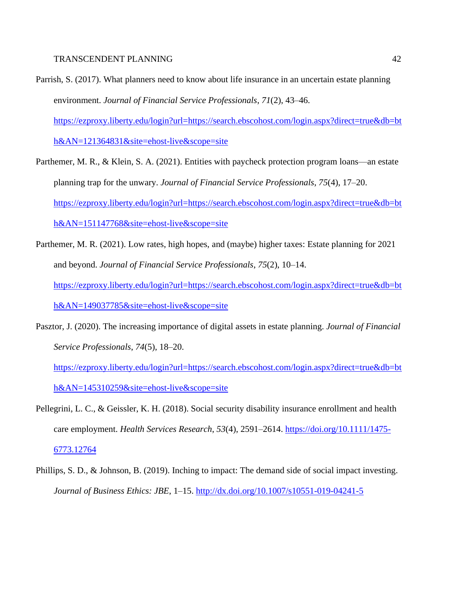- Parrish, S. (2017). What planners need to know about life insurance in an uncertain estate planning environment. *Journal of Financial Service Professionals*, *71*(2), 43–46. [https://ezproxy.liberty.edu/login?url=https://search.ebscohost.com/login.aspx?direct=true&db=bt](https://ezproxy.liberty.edu/login?url=https://search.ebscohost.com/login.aspx?direct=true&db=bth&AN=121364831&site=ehost-live&scope=site) [h&AN=121364831&site=ehost-live&scope=site](https://ezproxy.liberty.edu/login?url=https://search.ebscohost.com/login.aspx?direct=true&db=bth&AN=121364831&site=ehost-live&scope=site)
- Parthemer, M. R., & Klein, S. A. (2021). Entities with paycheck protection program loans—an estate planning trap for the unwary. *Journal of Financial Service Professionals*, *75*(4), 17–20. [https://ezproxy.liberty.edu/login?url=https://search.ebscohost.com/login.aspx?direct=true&db=bt](https://ezproxy.liberty.edu/login?url=https://search.ebscohost.com/login.aspx?direct=true&db=bth&AN=151147768&site=ehost-live&scope=site) [h&AN=151147768&site=ehost-live&scope=site](https://ezproxy.liberty.edu/login?url=https://search.ebscohost.com/login.aspx?direct=true&db=bth&AN=151147768&site=ehost-live&scope=site)
- Parthemer, M. R. (2021). Low rates, high hopes, and (maybe) higher taxes: Estate planning for 2021 and beyond. *Journal of Financial Service Professionals*, *75*(2), 10–14. [https://ezproxy.liberty.edu/login?url=https://search.ebscohost.com/login.aspx?direct=true&db=bt](https://ezproxy.liberty.edu/login?url=https://search.ebscohost.com/login.aspx?direct=true&db=bth&AN=149037785&site=ehost-live&scope=site) [h&AN=149037785&site=ehost-live&scope=site](https://ezproxy.liberty.edu/login?url=https://search.ebscohost.com/login.aspx?direct=true&db=bth&AN=149037785&site=ehost-live&scope=site)
- Pasztor, J. (2020). The increasing importance of digital assets in estate planning. *Journal of Financial Service Professionals*, *74*(5), 18–20.

[https://ezproxy.liberty.edu/login?url=https://search.ebscohost.com/login.aspx?direct=true&db=bt](https://ezproxy.liberty.edu/login?url=https://search.ebscohost.com/login.aspx?direct=true&db=bth&AN=145310259&site=ehost-live&scope=site) [h&AN=145310259&site=ehost-live&scope=site](https://ezproxy.liberty.edu/login?url=https://search.ebscohost.com/login.aspx?direct=true&db=bth&AN=145310259&site=ehost-live&scope=site)

- Pellegrini, L. C., & Geissler, K. H. (2018). Social security disability insurance enrollment and health care employment. *Health Services Research*, *53*(4), 2591–2614. [https://doi.org/10.1111/1475-](https://doi.org/10.1111/1475-6773.12764) [6773.12764](https://doi.org/10.1111/1475-6773.12764)
- Phillips, S. D., & Johnson, B. (2019). Inching to impact: The demand side of social impact investing. *Journal of Business Ethics: JBE*, 1–15.<http://dx.doi.org/10.1007/s10551-019-04241-5>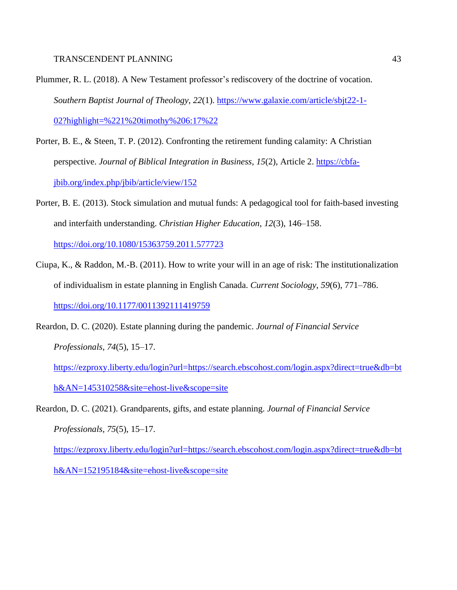- Plummer, R. L. (2018). A New Testament professor's rediscovery of the doctrine of vocation. *Southern Baptist Journal of Theology*, *22*(1). [https://www.galaxie.com/article/sbjt22-1-](https://www.galaxie.com/article/sbjt22-1-02?highlight=%221%20timothy%206:17%22) [02?highlight=%221%20timothy%206:17%22](https://www.galaxie.com/article/sbjt22-1-02?highlight=%221%20timothy%206:17%22)
- Porter, B. E., & Steen, T. P. (2012). Confronting the retirement funding calamity: A Christian perspective. *Journal of Biblical Integration in Business*, *15*(2), Article 2. [https://cbfa](https://cbfa-jbib.org/index.php/jbib/article/view/152)[jbib.org/index.php/jbib/article/view/152](https://cbfa-jbib.org/index.php/jbib/article/view/152)
- Porter, B. E. (2013). Stock simulation and mutual funds: A pedagogical tool for faith-based investing and interfaith understanding. *Christian Higher Education*, *12*(3), 146–158.

<https://doi.org/10.1080/15363759.2011.577723>

- Ciupa, K., & Raddon, M.-B. (2011). How to write your will in an age of risk: The institutionalization of individualism in estate planning in English Canada. *Current Sociology*, *59*(6), 771–786. <https://doi.org/10.1177/0011392111419759>
- Reardon, D. C. (2020). Estate planning during the pandemic. *Journal of Financial Service Professionals*, *74*(5), 15–17.

[https://ezproxy.liberty.edu/login?url=https://search.ebscohost.com/login.aspx?direct=true&db=bt](https://ezproxy.liberty.edu/login?url=https://search.ebscohost.com/login.aspx?direct=true&db=bth&AN=145310258&site=ehost-live&scope=site) [h&AN=145310258&site=ehost-live&scope=site](https://ezproxy.liberty.edu/login?url=https://search.ebscohost.com/login.aspx?direct=true&db=bth&AN=145310258&site=ehost-live&scope=site)

Reardon, D. C. (2021). Grandparents, gifts, and estate planning. *Journal of Financial Service Professionals*, *75*(5), 15–17.

[https://ezproxy.liberty.edu/login?url=https://search.ebscohost.com/login.aspx?direct=true&db=bt](https://ezproxy.liberty.edu/login?url=https://search.ebscohost.com/login.aspx?direct=true&db=bth&AN=152195184&site=ehost-live&scope=site) [h&AN=152195184&site=ehost-live&scope=site](https://ezproxy.liberty.edu/login?url=https://search.ebscohost.com/login.aspx?direct=true&db=bth&AN=152195184&site=ehost-live&scope=site)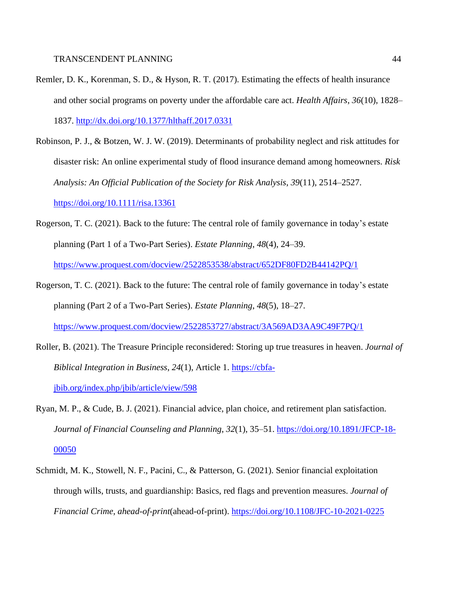- Remler, D. K., Korenman, S. D., & Hyson, R. T. (2017). Estimating the effects of health insurance and other social programs on poverty under the affordable care act. *Health Affairs*, *36*(10), 1828– 1837.<http://dx.doi.org/10.1377/hlthaff.2017.0331>
- Robinson, P. J., & Botzen, W. J. W. (2019). Determinants of probability neglect and risk attitudes for disaster risk: An online experimental study of flood insurance demand among homeowners. *Risk Analysis: An Official Publication of the Society for Risk Analysis*, *39*(11), 2514–2527.

<https://doi.org/10.1111/risa.13361>

- Rogerson, T. C. (2021). Back to the future: The central role of family governance in today's estate planning (Part 1 of a Two-Part Series). *Estate Planning*, *48*(4), 24–39. <https://www.proquest.com/docview/2522853538/abstract/652DF80FD2B44142PQ/1>
- Rogerson, T. C. (2021). Back to the future: The central role of family governance in today's estate planning (Part 2 of a Two-Part Series). *Estate Planning*, *48*(5), 18–27. <https://www.proquest.com/docview/2522853727/abstract/3A569AD3AA9C49F7PQ/1>
- Roller, B. (2021). The Treasure Principle reconsidered: Storing up true treasures in heaven. *Journal of Biblical Integration in Business*, *24*(1), Article 1. [https://cbfa](https://cbfa-jbib.org/index.php/jbib/article/view/598)[jbib.org/index.php/jbib/article/view/598](https://cbfa-jbib.org/index.php/jbib/article/view/598)
- Ryan, M. P., & Cude, B. J. (2021). Financial advice, plan choice, and retirement plan satisfaction. *Journal of Financial Counseling and Planning*, *32*(1), 35–51. [https://doi.org/10.1891/JFCP-18-](https://doi.org/10.1891/JFCP-18-00050) [00050](https://doi.org/10.1891/JFCP-18-00050)
- Schmidt, M. K., Stowell, N. F., Pacini, C., & Patterson, G. (2021). Senior financial exploitation through wills, trusts, and guardianship: Basics, red flags and prevention measures. *Journal of Financial Crime*, *ahead-of-print*(ahead-of-print).<https://doi.org/10.1108/JFC-10-2021-0225>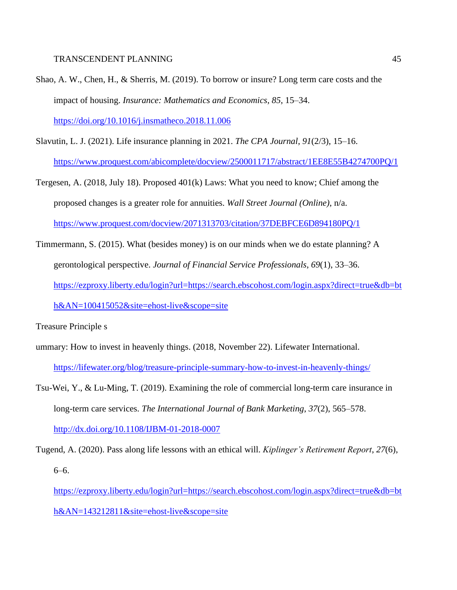- Shao, A. W., Chen, H., & Sherris, M. (2019). To borrow or insure? Long term care costs and the impact of housing. *Insurance: Mathematics and Economics*, *85*, 15–34. <https://doi.org/10.1016/j.insmatheco.2018.11.006>
- Slavutin, L. J. (2021). Life insurance planning in 2021. *The CPA Journal*, *91*(2/3), 15–16. <https://www.proquest.com/abicomplete/docview/2500011717/abstract/1EE8E55B4274700PQ/1>
- Tergesen, A. (2018, July 18). Proposed 401(k) Laws: What you need to know; Chief among the proposed changes is a greater role for annuities. *Wall Street Journal (Online)*, n/a. <https://www.proquest.com/docview/2071313703/citation/37DEBFCE6D894180PQ/1>
- Timmermann, S. (2015). What (besides money) is on our minds when we do estate planning? A gerontological perspective. *Journal of Financial Service Professionals*, *69*(1), 33–36. [https://ezproxy.liberty.edu/login?url=https://search.ebscohost.com/login.aspx?direct=true&db=bt](https://ezproxy.liberty.edu/login?url=https://search.ebscohost.com/login.aspx?direct=true&db=bth&AN=100415052&site=ehost-live&scope=site) [h&AN=100415052&site=ehost-live&scope=site](https://ezproxy.liberty.edu/login?url=https://search.ebscohost.com/login.aspx?direct=true&db=bth&AN=100415052&site=ehost-live&scope=site)

Treasure Principle s

- ummary: How to invest in heavenly things. (2018, November 22). Lifewater International. <https://lifewater.org/blog/treasure-principle-summary-how-to-invest-in-heavenly-things/>
- Tsu-Wei, Y., & Lu-Ming, T. (2019). Examining the role of commercial long-term care insurance in long-term care services. *The International Journal of Bank Marketing*, *37*(2), 565–578. <http://dx.doi.org/10.1108/IJBM-01-2018-0007>
- Tugend, A. (2020). Pass along life lessons with an ethical will. *Kiplinger's Retirement Report*, *27*(6), 6–6.
	- [https://ezproxy.liberty.edu/login?url=https://search.ebscohost.com/login.aspx?direct=true&db=bt](https://ezproxy.liberty.edu/login?url=https://search.ebscohost.com/login.aspx?direct=true&db=bth&AN=143212811&site=ehost-live&scope=site) [h&AN=143212811&site=ehost-live&scope=site](https://ezproxy.liberty.edu/login?url=https://search.ebscohost.com/login.aspx?direct=true&db=bth&AN=143212811&site=ehost-live&scope=site)